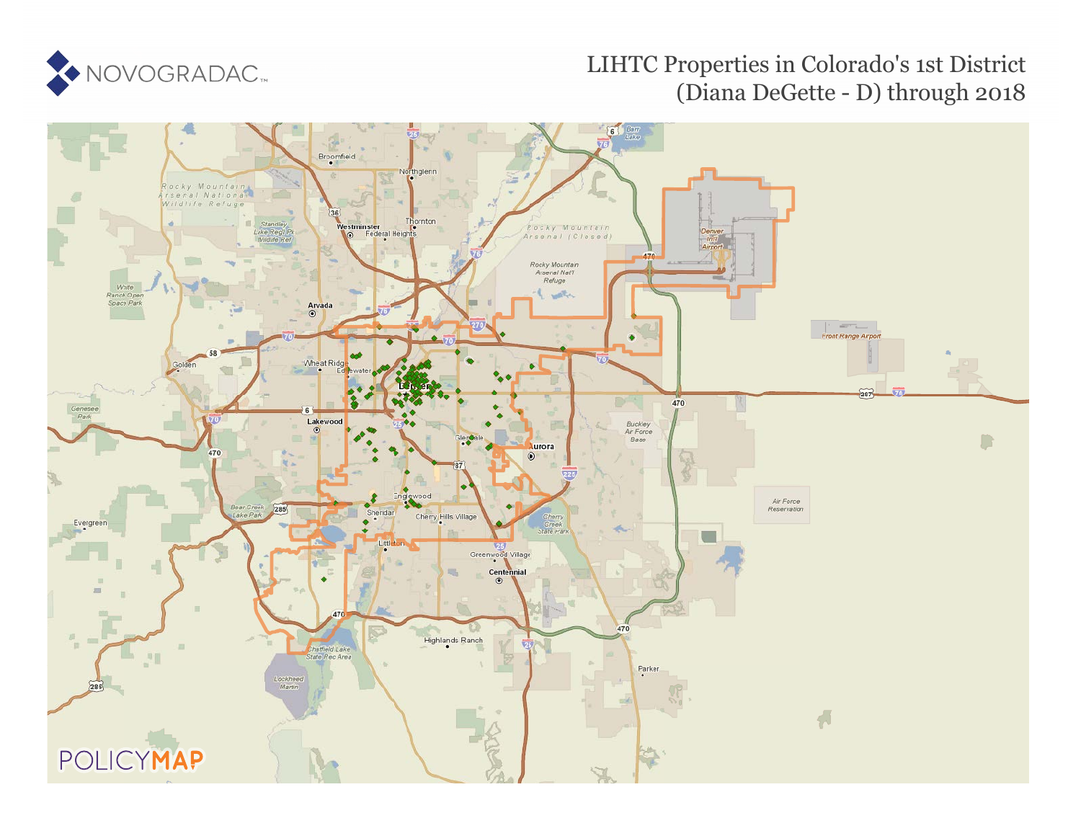

### LIHTC Properties in Colorado's 1st District (Diana DeGette - D) through 2018

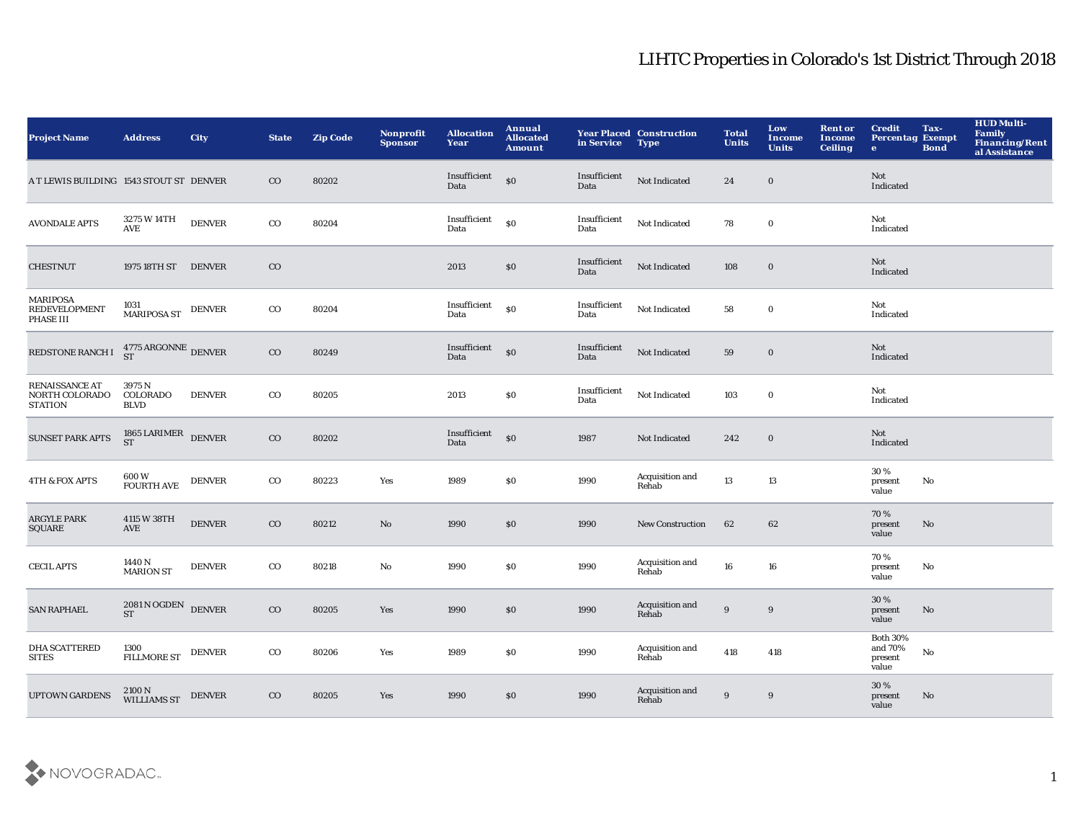| <b>Project Name</b>                                       | <b>Address</b>                                         | <b>City</b>       | <b>State</b> | <b>Zip Code</b> | Nonprofit<br><b>Sponsor</b> | <b>Allocation</b><br>Year          | Annual<br><b>Allocated</b><br><b>Amount</b>      | in Service           | <b>Year Placed Construction</b><br><b>Type</b> | <b>Total</b><br><b>Units</b> | Low<br>Income<br><b>Units</b> | <b>Rent or</b><br><b>Income</b><br><b>Ceiling</b> | <b>Credit</b><br><b>Percentag Exempt</b><br>$\bullet$ | Tax-<br><b>Bond</b>    | <b>HUD Multi-</b><br>Family<br>Financing/Rent<br>al Assistance |
|-----------------------------------------------------------|--------------------------------------------------------|-------------------|--------------|-----------------|-----------------------------|------------------------------------|--------------------------------------------------|----------------------|------------------------------------------------|------------------------------|-------------------------------|---------------------------------------------------|-------------------------------------------------------|------------------------|----------------------------------------------------------------|
| A T LEWIS BUILDING 1543 STOUT ST DENVER                   |                                                        |                   | $\rm{CO}$    | 80202           |                             | Insufficient<br>Data               | $\boldsymbol{\mathsf{S}}\boldsymbol{\mathsf{O}}$ | Insufficient<br>Data | Not Indicated                                  | 24                           | $\bf{0}$                      |                                                   | <b>Not</b><br>Indicated                               |                        |                                                                |
| <b>AVONDALE APTS</b>                                      | 3275 W 14TH<br>AVE                                     | <b>DENVER</b>     | $_{\rm CO}$  | 80204           |                             | Insufficient<br>Data               | $\boldsymbol{\mathsf{S}}\boldsymbol{\mathsf{O}}$ | Insufficient<br>Data | Not Indicated                                  | 78                           | $\mathbf 0$                   |                                                   | Not<br>Indicated                                      |                        |                                                                |
| <b>CHESTNUT</b>                                           | 1975 18TH ST DENVER                                    |                   | $_{\rm CO}$  |                 |                             | 2013                               | $\$0$                                            | Insufficient<br>Data | Not Indicated                                  | 108                          | $\bf{0}$                      |                                                   | Not<br>Indicated                                      |                        |                                                                |
| MARIPOSA<br><b>REDEVELOPMENT</b><br>PHASE III             | 1031<br>MARIPOSA ST DENVER                             |                   | $_{\rm CO}$  | 80204           |                             | Insufficient<br>Data               | $\boldsymbol{\mathsf{S}}\boldsymbol{\mathsf{O}}$ | Insufficient<br>Data | Not Indicated                                  | 58                           | $\mathbf 0$                   |                                                   | Not<br>Indicated                                      |                        |                                                                |
| REDSTONE RANCH I                                          | $4775\,\mathrm{ARGONNE}$ DENVER ST                     |                   | $_{\rm CO}$  | 80249           |                             | Insufficient <sub>80</sub><br>Data |                                                  | Insufficient<br>Data | Not Indicated                                  | 59                           | $\boldsymbol{0}$              |                                                   | Not<br>Indicated                                      |                        |                                                                |
| <b>RENAISSANCE AT</b><br>NORTH COLORADO<br><b>STATION</b> | 3975N<br>COLORADO<br><b>BLVD</b>                       | <b>DENVER</b>     | $_{\rm CO}$  | 80205           |                             | 2013                               | $\$0$                                            | Insufficient<br>Data | Not Indicated                                  | 103                          | $\bf{0}$                      |                                                   | Not<br>Indicated                                      |                        |                                                                |
| <b>SUNSET PARK APTS</b>                                   | $1865$ LARIMER $\,$ DENVER ST                          |                   | $\rm{CO}$    | 80202           |                             | Insufficient<br>Data               | $\boldsymbol{\mathsf{S}}$                        | 1987                 | Not Indicated                                  | 242                          | $\bf{0}$                      |                                                   | Not<br>Indicated                                      |                        |                                                                |
| <b>4TH &amp; FOX APTS</b>                                 | 600 W<br>FOURTH AVE                                    | <b>DENVER</b>     | $_{\rm CO}$  | 80223           | Yes                         | 1989                               | \$0                                              | 1990                 | Acquisition and<br>Rehab                       | 13                           | 13                            |                                                   | 30 %<br>present<br>value                              | No                     |                                                                |
| <b>ARGYLE PARK</b><br><b>SQUARE</b>                       | 4115 W 38TH<br><b>AVE</b>                              | <b>DENVER</b>     | $\rm{CO}$    | 80212           | No                          | 1990                               | $\$0$                                            | 1990                 | <b>New Construction</b>                        | 62                           | 62                            |                                                   | 70%<br>present<br>value                               | $\mathbf{N}\mathbf{o}$ |                                                                |
| <b>CECIL APTS</b>                                         | 1440 N<br><b>MARION ST</b>                             | <b>DENVER</b>     | $_{\rm CO}$  | 80218           | No                          | 1990                               | \$0                                              | 1990                 | Acquisition and<br>Rehab                       | ${\bf 16}$                   | 16                            |                                                   | 70%<br>present<br>value                               | No                     |                                                                |
| <b>SAN RAPHAEL</b>                                        | $2081\,\mathrm{N}\,\mathrm{OGDEN}$ DENVER<br><b>ST</b> |                   | $_{\rm CO}$  | 80205           | Yes                         | 1990                               | $\$0$                                            | 1990                 | Acquisition and<br>Rehab                       | 9                            | 9                             |                                                   | 30%<br>present<br>value                               | $\mathbf{N}\mathbf{o}$ |                                                                |
| <b>DHA SCATTERED</b><br><b>SITES</b>                      | 1300<br>FILLMORE ST                                    | $\textsc{DENVER}$ | $_{\rm CO}$  | 80206           | Yes                         | 1989                               | $\$0$                                            | 1990                 | Acquisition and<br>Rehab                       | 418                          | 418                           |                                                   | <b>Both 30%</b><br>and 70%<br>present<br>value        | No                     |                                                                |
| <b>UPTOWN GARDENS</b>                                     | 2100 N<br>WILLIAMS ST                                  | <b>DENVER</b>     | $_{\rm CO}$  | 80205           | Yes                         | 1990                               | \$0                                              | 1990                 | Acquisition and<br>Rehab                       | 9                            | 9                             |                                                   | $30\,\%$<br>present<br>value                          | No                     |                                                                |

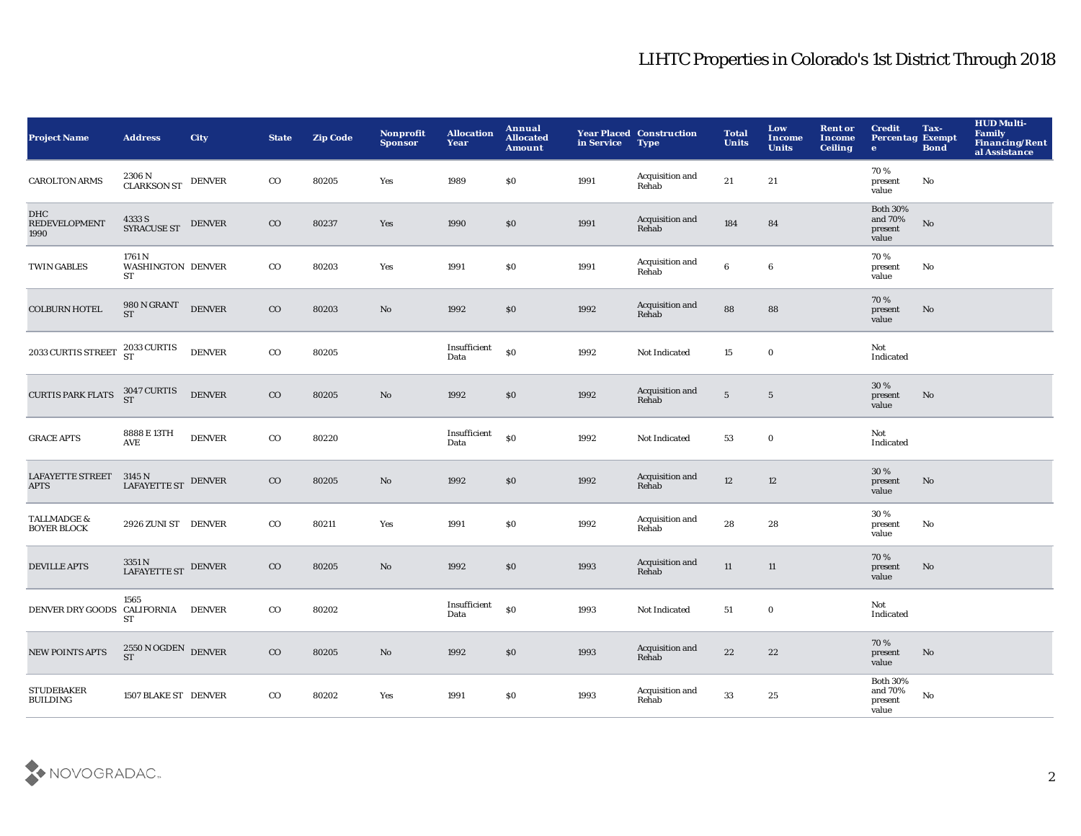| <b>Project Name</b>                                                                  | <b>Address</b>                                        | <b>City</b>   | <b>State</b> | <b>Zip Code</b> | Nonprofit<br><b>Sponsor</b> | <b>Allocation</b><br>Year | Annual<br><b>Allocated</b><br><b>Amount</b> | in Service | <b>Year Placed Construction</b><br><b>Type</b> | <b>Total</b><br><b>Units</b> | Low<br>Income<br><b>Units</b> | <b>Rent or</b><br>Income<br><b>Ceiling</b> | <b>Credit</b><br><b>Percentag Exempt</b><br>$\bullet$ | Tax-<br><b>Bond</b>    | <b>HUD Multi-</b><br><b>Family<br/>Financing/Rent</b><br>al Assistance |
|--------------------------------------------------------------------------------------|-------------------------------------------------------|---------------|--------------|-----------------|-----------------------------|---------------------------|---------------------------------------------|------------|------------------------------------------------|------------------------------|-------------------------------|--------------------------------------------|-------------------------------------------------------|------------------------|------------------------------------------------------------------------|
| <b>CAROLTON ARMS</b>                                                                 | $2306$ N $_{\rm CLARKSON\,ST}$ DENVER                 |               | $_{\rm CO}$  | 80205           | Yes                         | 1989                      | \$0                                         | 1991       | Acquisition and<br>Rehab                       | 21                           | 21                            |                                            | 70%<br>present<br>value                               | No                     |                                                                        |
| DHC<br><b>REDEVELOPMENT</b><br>1990                                                  | 4333 S<br>SYRACUSE ST                                 | <b>DENVER</b> | $_{\rm CO}$  | 80237           | Yes                         | 1990                      | $\$0$                                       | 1991       | Acquisition and<br>Rehab                       | 184                          | 84                            |                                            | <b>Both 30%</b><br>and 70%<br>present<br>value        | ${\bf No}$             |                                                                        |
| <b>TWIN GABLES</b>                                                                   | 1761 N<br><b>WASHINGTON DENVER</b><br>ST              |               | $_{\rm CO}$  | 80203           | Yes                         | 1991                      | $\$0$                                       | 1991       | Acquisition and<br>Rehab                       | $\bf 6$                      | $\bf 6$                       |                                            | 70%<br>present<br>value                               | No                     |                                                                        |
| <b>COLBURN HOTEL</b>                                                                 | $980\,\mathrm{N}\,\mathrm{GRANT}$ DENVER<br><b>ST</b> |               | $_{\rm CO}$  | 80203           | $\mathbf{N}\mathbf{o}$      | 1992                      | $\$0$                                       | 1992       | Acquisition and<br>Rehab                       | 88                           | 88                            |                                            | 70%<br>present<br>value                               | No                     |                                                                        |
| 2033 CURTIS STREET $\begin{array}{c} 2033 \, \text{CURTIS} \\ \text{ST} \end{array}$ |                                                       | <b>DENVER</b> | $_{\rm CO}$  | 80205           |                             | Insufficient<br>Data      | \$0                                         | 1992       | Not Indicated                                  | 15                           | $\mathbf 0$                   |                                            | Not<br>Indicated                                      |                        |                                                                        |
| <b>CURTIS PARK FLATS</b>                                                             | 3047 CURTIS<br>ST                                     | <b>DENVER</b> | $_{\rm CO}$  | 80205           | $\rm No$                    | 1992                      | $\$0$                                       | 1992       | Acquisition and<br>Rehab                       | $\sqrt{5}$                   | $5\phantom{.0}$               |                                            | 30%<br>present<br>value                               | No                     |                                                                        |
| <b>GRACE APTS</b>                                                                    | 8888 E 13TH<br>AVE                                    | <b>DENVER</b> | $_{\rm CO}$  | 80220           |                             | Insufficient<br>Data      | $\$0$                                       | 1992       | Not Indicated                                  | 53                           | $\mathbf 0$                   |                                            | Not<br>Indicated                                      |                        |                                                                        |
| <b>LAFAYETTE STREET</b><br><b>APTS</b>                                               | $3145$ N $$\tt LAFAYETTE$ ST $$\tt DENVER$$           |               | $_{\rm CO}$  | 80205           | $\mathbf{N}\mathbf{o}$      | 1992                      | $\$0$                                       | 1992       | Acquisition and<br>Rehab                       | $12\,$                       | 12                            |                                            | 30%<br>present<br>value                               | No                     |                                                                        |
| TALLMADGE &<br><b>BOYER BLOCK</b>                                                    | 2926 ZUNI ST DENVER                                   |               | $_{\rm CO}$  | 80211           | Yes                         | 1991                      | \$0                                         | 1992       | Acquisition and<br>Rehab                       | 28                           | 28                            |                                            | 30 %<br>present<br>value                              | No                     |                                                                        |
| <b>DEVILLE APTS</b>                                                                  | 3351 N<br>LAFAYETTE ST                                | <b>DENVER</b> | $_{\rm CO}$  | 80205           | $\rm No$                    | 1992                      | $\$0$                                       | 1993       | Acquisition and<br>Rehab                       | $11\,$                       | $11\,$                        |                                            | 70%<br>present<br>value                               | No                     |                                                                        |
| DENVER DRY GOODS CALIFORNIA DENVER                                                   | 1565<br><b>ST</b>                                     |               | $_{\rm CO}$  | 80202           |                             | Insufficient<br>Data      | $\$0$                                       | 1993       | Not Indicated                                  | 51                           | $\mathbf 0$                   |                                            | Not<br>Indicated                                      |                        |                                                                        |
| <b>NEW POINTS APTS</b>                                                               | $2550\,\mathrm{N}\,\mathrm{OGDEN}$ DENVER ST          |               | $_{\rm CO}$  | 80205           | $\mathbf{N}\mathbf{o}$      | 1992                      | $\$0$                                       | 1993       | Acquisition and<br>Rehab                       | 22                           | 22                            |                                            | 70%<br>present<br>value                               | $\mathbf{N}\mathbf{o}$ |                                                                        |
| <b>STUDEBAKER</b><br><b>BUILDING</b>                                                 | 1507 BLAKE ST DENVER                                  |               | $_{\rm CO}$  | 80202           | Yes                         | 1991                      | \$0                                         | 1993       | Acquisition and<br>Rehab                       | 33                           | 25                            |                                            | <b>Both 30%</b><br>and 70%<br>present<br>value        | No                     |                                                                        |

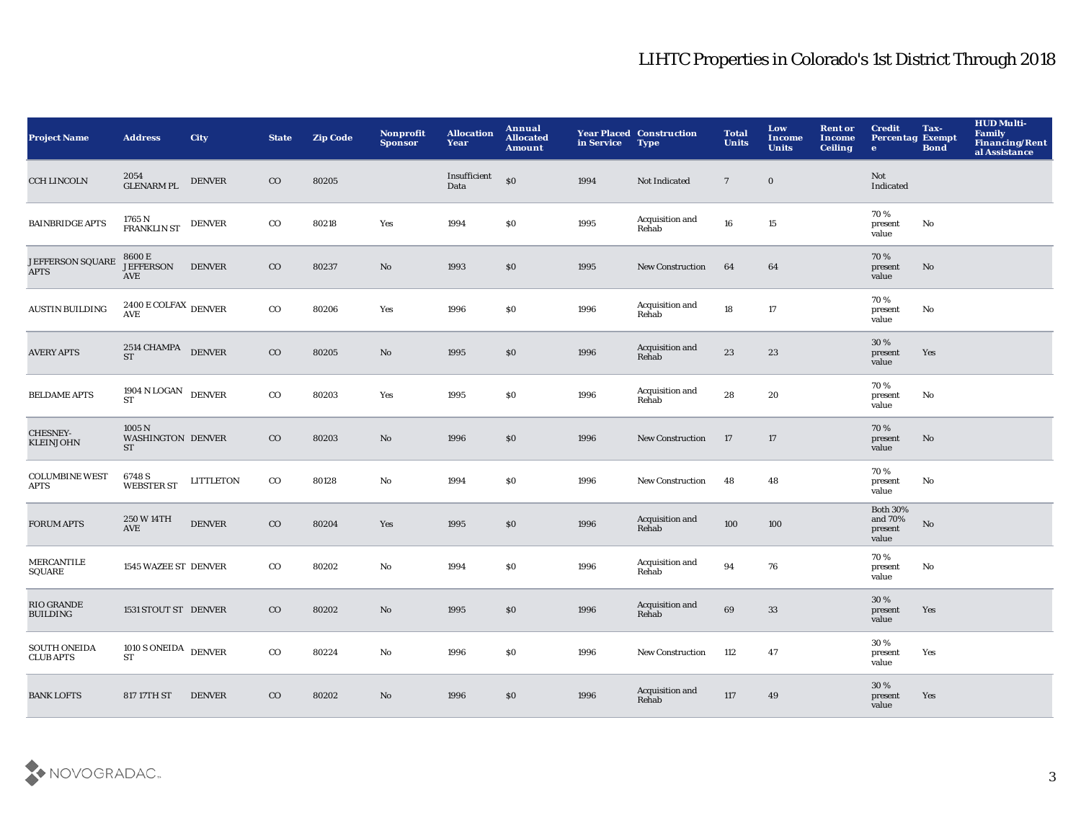| <b>Project Name</b>                     | <b>Address</b>                                           | <b>City</b>      | <b>State</b> | <b>Zip Code</b> | Nonprofit<br><b>Sponsor</b> | <b>Allocation</b><br>Year | Annual<br><b>Allocated</b><br>Amount | in Service | <b>Year Placed Construction</b><br><b>Type</b> | <b>Total</b><br><b>Units</b> | Low<br>Income<br><b>Units</b> | <b>Rent or</b><br><b>Income</b><br><b>Ceiling</b> | <b>Credit</b><br><b>Percentag Exempt</b><br>$\mathbf{e}$ | Tax-<br><b>Bond</b> | <b>HUD Multi-</b><br>Family<br>Financing/Rent<br>al Assistance |
|-----------------------------------------|----------------------------------------------------------|------------------|--------------|-----------------|-----------------------------|---------------------------|--------------------------------------|------------|------------------------------------------------|------------------------------|-------------------------------|---------------------------------------------------|----------------------------------------------------------|---------------------|----------------------------------------------------------------|
| <b>CCH LINCOLN</b>                      | $2054$ GLENARM PL                                        | <b>DENVER</b>    | $_{\rm CO}$  | 80205           |                             | Insufficient<br>Data      | \$0                                  | 1994       | Not Indicated                                  | $7\phantom{.0}$              | $\bf{0}$                      |                                                   | Not<br>Indicated                                         |                     |                                                                |
| <b>BAINBRIDGE APTS</b>                  | 1765 N<br>FRANKLIN ST                                    | <b>DENVER</b>    | $_{\rm CO}$  | 80218           | Yes                         | 1994                      | \$0                                  | 1995       | Acquisition and<br>Rehab                       | 16                           | 15                            |                                                   | 70%<br>present<br>value                                  | No                  |                                                                |
| JEFFERSON SQUARE<br><b>APTS</b>         | 8600 E<br><b>JEFFERSON</b><br>AVE                        | <b>DENVER</b>    | $_{\rm CO}$  | 80237           | No                          | 1993                      | $\$0$                                | 1995       | <b>New Construction</b>                        | 64                           | 64                            |                                                   | 70%<br>present<br>value                                  | No                  |                                                                |
| <b>AUSTIN BUILDING</b>                  | $2400\,\mathrm{E}\,\mathrm{COLFAX}$ DENVER<br><b>AVE</b> |                  | $_{\rm CO}$  | 80206           | Yes                         | 1996                      | $\$0$                                | 1996       | Acquisition and<br>Rehab                       | 18                           | 17                            |                                                   | 70%<br>present<br>value                                  | No                  |                                                                |
| <b>AVERY APTS</b>                       | 2514 CHAMPA DENVER<br><b>ST</b>                          |                  | $_{\rm CO}$  | 80205           | No                          | 1995                      | \$0                                  | 1996       | Acquisition and<br>Rehab                       | 23                           | 23                            |                                                   | 30 %<br>present<br>value                                 | Yes                 |                                                                |
| <b>BELDAME APTS</b>                     | 1904 N LOGAN DENVER<br><b>ST</b>                         |                  | $_{\rm CO}$  | 80203           | Yes                         | 1995                      | \$0                                  | 1996       | Acquisition and<br>Rehab                       | 28                           | 20                            |                                                   | 70%<br>present<br>value                                  | No                  |                                                                |
| CHESNEY-<br><b>KLEINJOHN</b>            | 1005N<br><b>WASHINGTON DENVER</b><br><b>ST</b>           |                  | $_{\rm CO}$  | 80203           | No                          | 1996                      | \$0                                  | 1996       | <b>New Construction</b>                        | 17                           | 17                            |                                                   | 70%<br>present<br>value                                  | No                  |                                                                |
| <b>COLUMBINE WEST</b><br><b>APTS</b>    | 6748 S<br><b>WEBSTER ST</b>                              | <b>LITTLETON</b> | $_{\rm CO}$  | 80128           | No                          | 1994                      | \$0                                  | 1996       | <b>New Construction</b>                        | 48                           | 48                            |                                                   | 70%<br>present<br>value                                  | No                  |                                                                |
| <b>FORUM APTS</b>                       | 250 W 14TH<br><b>AVE</b>                                 | <b>DENVER</b>    | $_{\rm CO}$  | 80204           | Yes                         | 1995                      | \$0                                  | 1996       | Acquisition and<br>Rehab                       | 100                          | 100                           |                                                   | <b>Both 30%</b><br>and $70\%$<br>present<br>value        | $\mathbf{No}$       |                                                                |
| <b>MERCANTILE</b><br>SQUARE             | 1545 WAZEE ST DENVER                                     |                  | $_{\rm CO}$  | 80202           | No                          | 1994                      | \$0                                  | 1996       | Acquisition and<br>Rehab                       | 94                           | 76                            |                                                   | 70%<br>present<br>value                                  | No                  |                                                                |
| RIO GRANDE<br><b>BUILDING</b>           | 1531 STOUT ST DENVER                                     |                  | $_{\rm CO}$  | 80202           | No                          | 1995                      | \$0                                  | 1996       | Acquisition and<br>Rehab                       | 69                           | 33                            |                                                   | 30 %<br>present<br>value                                 | Yes                 |                                                                |
| <b>SOUTH ONEIDA</b><br><b>CLUB APTS</b> | $1010$ S ONEIDA $\,$ DENVER<br><b>ST</b>                 |                  | $_{\rm CO}$  | 80224           | No                          | 1996                      | \$0                                  | 1996       | <b>New Construction</b>                        | 112                          | 47                            |                                                   | 30%<br>present<br>value                                  | Yes                 |                                                                |
| <b>BANK LOFTS</b>                       | 817 17TH ST                                              | <b>DENVER</b>    | $_{\rm CO}$  | 80202           | No                          | 1996                      | \$0                                  | 1996       | Acquisition and<br>Rehab                       | 117                          | 49                            |                                                   | 30 %<br>present<br>value                                 | Yes                 |                                                                |

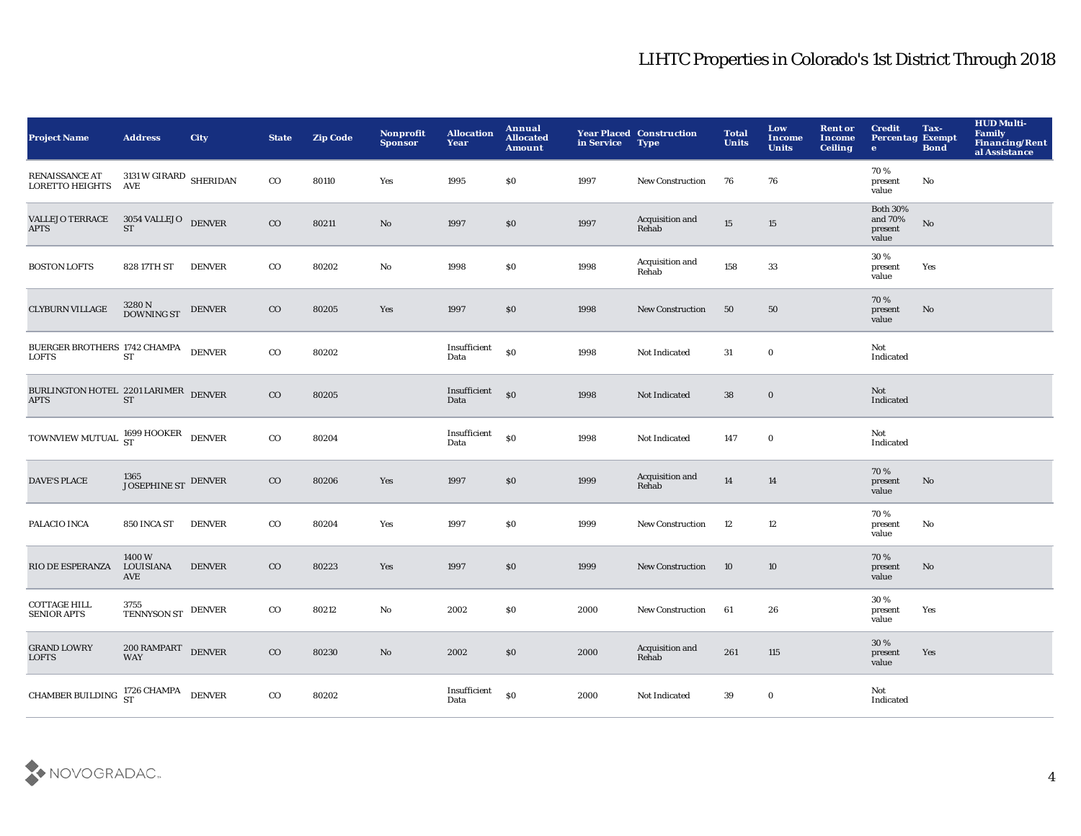| <b>Project Name</b>                                                                                                              | <b>Address</b>                   | <b>City</b>   | <b>State</b> | <b>Zip Code</b> | <b>Nonprofit</b><br><b>Sponsor</b> | <b>Allocation</b><br>Year | Annual<br><b>Allocated</b><br><b>Amount</b> | in Service | <b>Year Placed Construction</b><br><b>Type</b> | <b>Total</b><br><b>Units</b> | Low<br>Income<br><b>Units</b> | <b>Rent or</b><br><b>Income</b><br><b>Ceiling</b> | <b>Credit</b><br><b>Percentag Exempt</b><br>$\bullet$ | Tax-<br><b>Bond</b>    | <b>HUD Multi-</b><br><b>Family</b><br>Financing/Rent<br>al Assistance |
|----------------------------------------------------------------------------------------------------------------------------------|----------------------------------|---------------|--------------|-----------------|------------------------------------|---------------------------|---------------------------------------------|------------|------------------------------------------------|------------------------------|-------------------------------|---------------------------------------------------|-------------------------------------------------------|------------------------|-----------------------------------------------------------------------|
| RENAISSANCE AT<br>LORETTO HEIGHTS                                                                                                | 3131 W GIRARD SHERIDAN<br>AVE    |               | $_{\rm CO}$  | 80110           | Yes                                | 1995                      | <b>SO</b>                                   | 1997       | <b>New Construction</b>                        | 76                           | 76                            |                                                   | 70%<br>present<br>value                               | No                     |                                                                       |
| <b>VALLEJO TERRACE</b><br><b>APTS</b>                                                                                            | $3054$ VALLEJO $\quad$ DENVER ST |               | $\rm{CO}$    | 80211           | No                                 | 1997                      | \$0                                         | 1997       | Acquisition and<br>Rehab                       | 15                           | 15                            |                                                   | <b>Both 30%</b><br>and 70%<br>present<br>value        | $\mathbf{N}\mathbf{o}$ |                                                                       |
| <b>BOSTON LOFTS</b>                                                                                                              | 828 17TH ST                      | <b>DENVER</b> | $_{\rm CO}$  | 80202           | $\mathbf {No}$                     | 1998                      | \$0                                         | 1998       | Acquisition and<br>Rehab                       | 158                          | 33                            |                                                   | 30%<br>present<br>value                               | Yes                    |                                                                       |
| <b>CLYBURN VILLAGE</b>                                                                                                           | 3280 N<br>DOWNING ST             | <b>DENVER</b> | $_{\rm CO}$  | 80205           | Yes                                | 1997                      | \$0                                         | 1998       | New Construction                               | 50                           | 50                            |                                                   | 70%<br>present<br>value                               | No                     |                                                                       |
| $\begin{array}{ll} \texttt{BUCRGER} \texttt{BROTHERS} \texttt{ } 1742 \texttt{CHAMPA} \\ \texttt{LOFTS} \texttt{ST} \end{array}$ |                                  | <b>DENVER</b> | $_{\rm CO}$  | 80202           |                                    | Insufficient<br>Data      | \$0                                         | 1998       | Not Indicated                                  | 31                           | $\bf{0}$                      |                                                   | Not<br>Indicated                                      |                        |                                                                       |
| BURLINGTON HOTEL 2201 LARIMER DENVER<br><b>APTS</b>                                                                              | <b>ST</b>                        |               | $\rm{CO}$    | 80205           |                                    | Insufficient<br>Data      | $\mathbf{S}$                                | 1998       | Not Indicated                                  | 38                           | $\bf{0}$                      |                                                   | Not<br>Indicated                                      |                        |                                                                       |
| TOWNVIEW MUTUAL $^{1699}_{ST}$ HOOKER DENVER                                                                                     |                                  |               | $_{\rm CO}$  | 80204           |                                    | Insufficient<br>Data      | \$0                                         | 1998       | Not Indicated                                  | 147                          | $\mathbf 0$                   |                                                   | Not<br>Indicated                                      |                        |                                                                       |
| <b>DAVE'S PLACE</b>                                                                                                              | $1365$ JOSEPHINE ST $\,$ DENVER  |               | $\rm{CO}$    | 80206           | Yes                                | 1997                      | \$0                                         | 1999       | Acquisition and<br>Rehab                       | 14                           | 14                            |                                                   | 70%<br>present<br>value                               | No                     |                                                                       |
| PALACIO INCA                                                                                                                     | 850 INCA ST                      | <b>DENVER</b> | $_{\rm CO}$  | 80204           | Yes                                | 1997                      | \$0                                         | 1999       | <b>New Construction</b>                        | 12                           | $12\,$                        |                                                   | 70%<br>present<br>value                               | No                     |                                                                       |
| RIO DE ESPERANZA                                                                                                                 | 1400W<br>LOUISIANA<br>AVE        | <b>DENVER</b> | $_{\rm CO}$  | 80223           | Yes                                | 1997                      | \$0                                         | 1999       | <b>New Construction</b>                        | 10                           | 10                            |                                                   | 70%<br>present<br>value                               | No                     |                                                                       |
| <b>COTTAGE HILL</b><br><b>SENIOR APTS</b>                                                                                        | 3755<br>TENNYSON ST DENVER       |               | $_{\rm CO}$  | 80212           | No                                 | 2002                      | \$0                                         | 2000       | New Construction                               | 61                           | 26                            |                                                   | 30%<br>present<br>value                               | Yes                    |                                                                       |
| <b>GRAND LOWRY</b><br><b>LOFTS</b>                                                                                               | $200$ RAMPART DENVER             |               | $_{\rm CO}$  | 80230           | No                                 | 2002                      | \$0                                         | 2000       | Acquisition and<br>Rehab                       | 261                          | 115                           |                                                   | 30 %<br>present<br>value                              | Yes                    |                                                                       |
| <b>CHAMBER BUILDING</b>                                                                                                          | 1726 CHAMPA DENVER               |               | $_{\rm CO}$  | 80202           |                                    | Insufficient<br>Data      | \$0                                         | 2000       | Not Indicated                                  | 39                           | $\bf{0}$                      |                                                   | Not<br>Indicated                                      |                        |                                                                       |

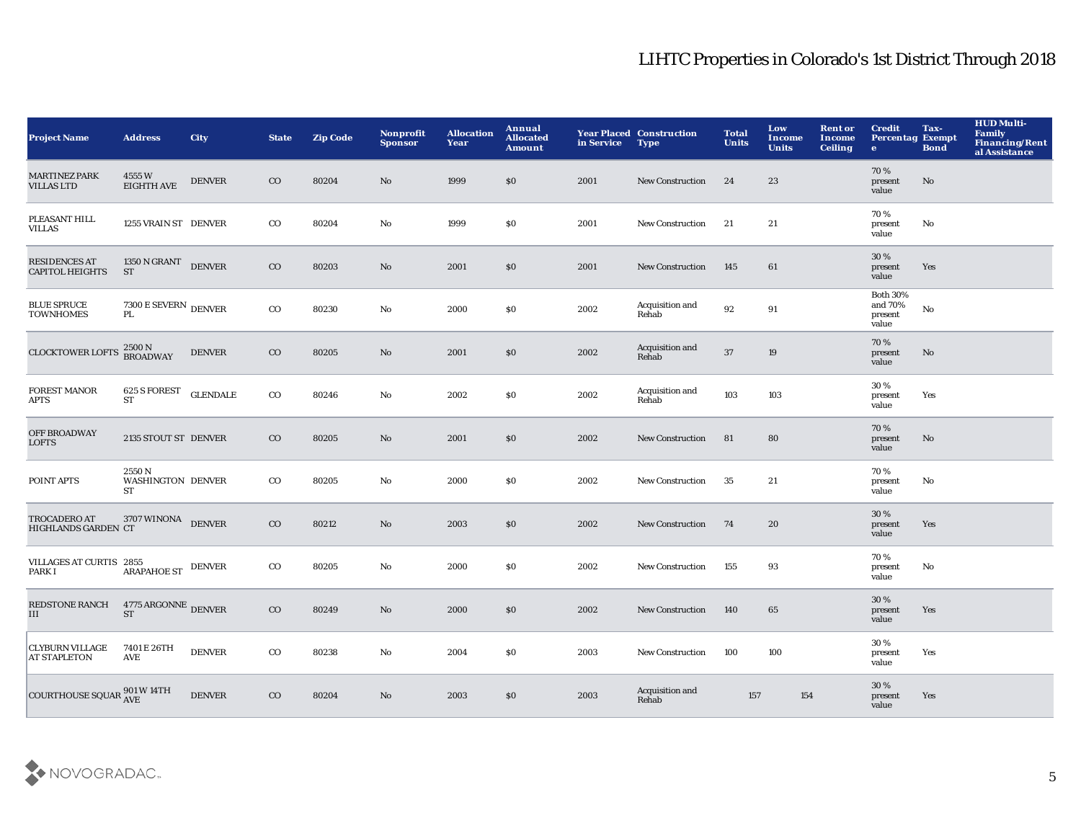| Project Name                                                | <b>Address</b>                                            | <b>City</b>     | <b>State</b> | <b>Zip Code</b> | <b>Nonprofit</b><br><b>Sponsor</b> | <b>Allocation</b><br>Year | Annual<br><b>Allocated</b><br><b>Amount</b> | in Service | <b>Year Placed Construction</b><br><b>Type</b> | <b>Total</b><br><b>Units</b> | Low<br><b>Income</b><br><b>Units</b> | <b>Rent or</b><br>Income<br><b>Ceiling</b> | <b>Credit</b><br><b>Percentag Exempt</b><br>$\mathbf{e}$ | Tax-<br><b>Bond</b> | <b>HUD Multi-</b><br>Family<br><b>Financing/Rent</b><br>al Assistance |
|-------------------------------------------------------------|-----------------------------------------------------------|-----------------|--------------|-----------------|------------------------------------|---------------------------|---------------------------------------------|------------|------------------------------------------------|------------------------------|--------------------------------------|--------------------------------------------|----------------------------------------------------------|---------------------|-----------------------------------------------------------------------|
| <b>MARTINEZ PARK</b><br><b>VILLAS LTD</b>                   | 4555W<br><b>EIGHTH AVE</b>                                | <b>DENVER</b>   | $_{\rm CO}$  | 80204           | No                                 | 1999                      | \$0                                         | 2001       | <b>New Construction</b>                        | 24                           | 23                                   |                                            | 70%<br>present<br>value                                  | No                  |                                                                       |
| PLEASANT HILL<br>VILLAS                                     | 1255 VRAIN ST DENVER                                      |                 | $_{\rm CO}$  | 80204           | $\mathbf{No}$                      | 1999                      | \$0                                         | 2001       | New Construction                               | 21                           | 21                                   |                                            | 70%<br>present<br>value                                  | No                  |                                                                       |
| <b>RESIDENCES AT</b><br><b>CAPITOL HEIGHTS</b>              | $1350$ N GRANT $\quad$ DENVER<br><b>ST</b>                |                 | $_{\rm CO}$  | 80203           | No                                 | 2001                      | \$0                                         | 2001       | <b>New Construction</b>                        | 145                          | 61                                   |                                            | 30 %<br>present<br>value                                 | Yes                 |                                                                       |
| <b>BLUE SPRUCE</b><br><b>TOWNHOMES</b>                      | $7300\,\mathrm{E}\,\mathrm{SE}\mathrm{VERN}$ DENVER<br>PL |                 | $_{\rm CO}$  | 80230           | No                                 | 2000                      | \$0                                         | 2002       | Acquisition and<br>Rehab                       | 92                           | 91                                   |                                            | <b>Both 30%</b><br>and 70%<br>present<br>value           | No                  |                                                                       |
| <b>CLOCKTOWER LOFTS</b>                                     | 2500 N<br>BROADWAY                                        | <b>DENVER</b>   | $_{\rm CO}$  | 80205           | No                                 | 2001                      | \$0                                         | 2002       | Acquisition and<br>Rehab                       | 37                           | 19                                   |                                            | 70%<br>present<br>value                                  | No                  |                                                                       |
| <b>FOREST MANOR</b><br><b>APTS</b>                          | 625 S FOREST<br><b>ST</b>                                 | <b>GLENDALE</b> | $_{\rm CO}$  | 80246           | No                                 | 2002                      | \$0                                         | 2002       | Acquisition and<br>Rehab                       | 103                          | 103                                  |                                            | 30%<br>present<br>value                                  | Yes                 |                                                                       |
| <b>OFF BROADWAY</b><br>LOFTS                                | 2135 STOUT ST DENVER                                      |                 | $_{\rm CO}$  | 80205           | No                                 | 2001                      | \$0                                         | 2002       | <b>New Construction</b>                        | 81                           | 80                                   |                                            | 70%<br>present<br>value                                  | No                  |                                                                       |
| POINT APTS                                                  | 2550N<br><b>WASHINGTON DENVER</b><br>ST                   |                 | $_{\rm CO}$  | 80205           | No                                 | 2000                      | \$0                                         | 2002       | New Construction                               | 35                           | 21                                   |                                            | 70%<br>present<br>value                                  | No                  |                                                                       |
| <b>TROCADERO AT</b><br>HIGHLANDS GARDEN CT                  | 3707 WINONA DENVER                                        |                 | $_{\rm CO}$  | 80212           | No                                 | 2003                      | \$0                                         | 2002       | <b>New Construction</b>                        | 74                           | 20                                   |                                            | 30 %<br>present<br>value                                 | Yes                 |                                                                       |
| VILLAGES AT CURTIS 2855<br>PARK I                           | <b>ARAPAHOE ST</b>                                        | <b>DENVER</b>   | $_{\rm CO}$  | 80205           | No                                 | 2000                      | \$0                                         | 2002       | New Construction                               | 155                          | 93                                   |                                            | 70%<br>present<br>value                                  | No                  |                                                                       |
| REDSTONE RANCH<br><b>III</b>                                | 4775 ARGONNE DENVER<br><b>ST</b>                          |                 | $_{\rm CO}$  | 80249           | No                                 | 2000                      | \$0                                         | 2002       | <b>New Construction</b>                        | 140                          | 65                                   |                                            | 30 %<br>present<br>value                                 | Yes                 |                                                                       |
| <b>CLYBURN VILLAGE</b><br><b>AT STAPLETON</b>               | 7401 E 26TH<br>AVE                                        | <b>DENVER</b>   | $_{\rm CO}$  | 80238           | No                                 | 2004                      | \$0                                         | 2003       | <b>New Construction</b>                        | 100                          | 100                                  |                                            | 30%<br>present<br>value                                  | Yes                 |                                                                       |
| COURTHOUSE SQUAR $_{\text{AVE}}^{901\text{ W }14\text{TH}}$ |                                                           | <b>DENVER</b>   | $_{\rm CO}$  | 80204           | No                                 | 2003                      | \$0                                         | 2003       | Acquisition and<br>Rehab                       | 157                          | 154                                  |                                            | 30%<br>present<br>value                                  | Yes                 |                                                                       |

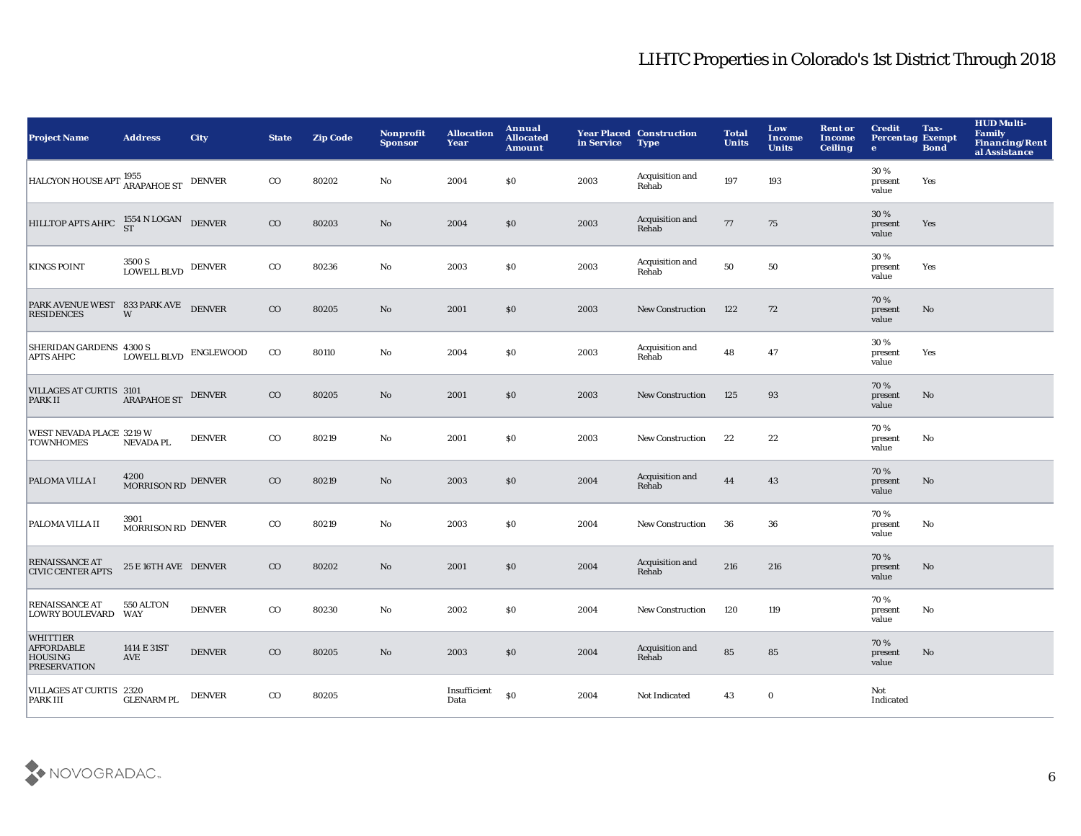| <b>Project Name</b>                                                           | <b>Address</b>             | <b>City</b>   | <b>State</b> | <b>Zip Code</b> | <b>Nonprofit</b><br><b>Sponsor</b> | <b>Allocation</b><br>Year | Annual<br><b>Allocated</b><br><b>Amount</b> | in Service | <b>Year Placed Construction</b><br><b>Type</b> | <b>Total</b><br><b>Units</b> | Low<br><b>Income</b><br><b>Units</b> | <b>Rent or</b><br><b>Income</b><br><b>Ceiling</b> | <b>Credit</b><br><b>Percentag Exempt</b><br>$\bullet$ | Tax-<br><b>Bond</b> | <b>HUD Multi-</b><br><b>Family</b><br><b>Financing/Rent</b><br>al Assistance |
|-------------------------------------------------------------------------------|----------------------------|---------------|--------------|-----------------|------------------------------------|---------------------------|---------------------------------------------|------------|------------------------------------------------|------------------------------|--------------------------------------|---------------------------------------------------|-------------------------------------------------------|---------------------|------------------------------------------------------------------------------|
| HALCYON HOUSE APT: ARAPAHOE ST DENVER                                         |                            |               | $_{\rm CO}$  | 80202           | No                                 | 2004                      | \$0                                         | 2003       | Acquisition and<br>Rehab                       | 197                          | 193                                  |                                                   | 30 %<br>present<br>value                              | Yes                 |                                                                              |
| HILLTOP APTS AHPC $^{1554}_{ST}$ N LOGAN DENVER                               |                            |               | $_{\rm CO}$  | 80203           | No                                 | 2004                      | \$0                                         | 2003       | Acquisition and<br>Rehab                       | 77                           | 75                                   |                                                   | 30%<br>present<br>value                               | Yes                 |                                                                              |
| <b>KINGS POINT</b>                                                            | 3500 S<br>LOWELL BLVD      | <b>DENVER</b> | $_{\rm CO}$  | 80236           | $\mathbf {No}$                     | 2003                      | \$0                                         | 2003       | Acquisition and<br>Rehab                       | 50                           | 50                                   |                                                   | 30 %<br>present<br>value                              | Yes                 |                                                                              |
| PARK AVENUE WEST 833 PARK AVE DENVER<br><b>RESIDENCES</b>                     | W                          |               | $_{\rm CO}$  | 80205           | $\mathbf{N}\mathbf{o}$             | 2001                      | \$0                                         | 2003       | <b>New Construction</b>                        | 122                          | 72                                   |                                                   | 70%<br>present<br>value                               | No                  |                                                                              |
| SHERIDAN GARDENS 4300 S<br><b>APTS AHPC</b>                                   | LOWELL BLVD ENGLEWOOD      |               | $_{\rm CO}$  | 80110           | No                                 | 2004                      | $\$0$                                       | 2003       | Acquisition and<br>Rehab                       | 48                           | 47                                   |                                                   | 30 %<br>present<br>value                              | Yes                 |                                                                              |
| VILLAGES AT CURTIS 3101<br>PARK II                                            | <b>ARAPAHOE ST</b>         | <b>DENVER</b> | $_{\rm CO}$  | 80205           | No                                 | 2001                      | \$0                                         | 2003       | <b>New Construction</b>                        | 125                          | 93                                   |                                                   | 70 %<br>present<br>value                              | No                  |                                                                              |
| WEST NEVADA PLACE 3219 W<br><b>TOWNHOMES</b>                                  | <b>NEVADA PL</b>           | <b>DENVER</b> | $_{\rm CO}$  | 80219           | No                                 | 2001                      | \$0                                         | 2003       | <b>New Construction</b>                        | 22                           | 22                                   |                                                   | 70%<br>present<br>value                               | No                  |                                                                              |
| PALOMA VILLA I                                                                | 4200<br>MORRISON RD DENVER |               | $_{\rm CO}$  | 80219           | No                                 | 2003                      | \$0                                         | 2004       | Acquisition and<br>Rehab                       | 44                           | 43                                   |                                                   | 70%<br>present<br>value                               | No                  |                                                                              |
| PALOMA VILLA II                                                               | 3901<br>MORRISON RD DENVER |               | $_{\rm CO}$  | 80219           | No                                 | 2003                      | \$0                                         | 2004       | <b>New Construction</b>                        | 36                           | 36                                   |                                                   | 70%<br>present<br>value                               | No                  |                                                                              |
| <b>RENAISSANCE AT</b><br><b>CIVIC CENTER APTS</b>                             | 25 E 16TH AVE DENVER       |               | $_{\rm CO}$  | 80202           | No                                 | 2001                      | \$0                                         | 2004       | Acquisition and<br>Rehab                       | 216                          | 216                                  |                                                   | 70 %<br>present<br>value                              | No                  |                                                                              |
| <b>RENAISSANCE AT</b><br>LOWRY BOULEVARD WAY                                  | 550 ALTON                  | <b>DENVER</b> | $_{\rm CO}$  | 80230           | No                                 | 2002                      | \$0                                         | 2004       | New Construction                               | 120                          | 119                                  |                                                   | 70%<br>present<br>value                               | No                  |                                                                              |
| <b>WHITTIER</b><br><b>AFFORDABLE</b><br><b>HOUSING</b><br><b>PRESERVATION</b> | 1414 E 31ST<br><b>AVE</b>  | <b>DENVER</b> | $_{\rm CO}$  | 80205           | No                                 | 2003                      | \$0                                         | 2004       | Acquisition and<br>Rehab                       | 85                           | 85                                   |                                                   | 70%<br>present<br>value                               | No                  |                                                                              |
| VILLAGES AT CURTIS 2320<br><b>PARK III</b>                                    | <b>GLENARM PL</b>          | <b>DENVER</b> | $_{\rm CO}$  | 80205           |                                    | Insufficient<br>Data      | \$0                                         | 2004       | Not Indicated                                  | 43                           | $\bf{0}$                             |                                                   | Not<br>Indicated                                      |                     |                                                                              |

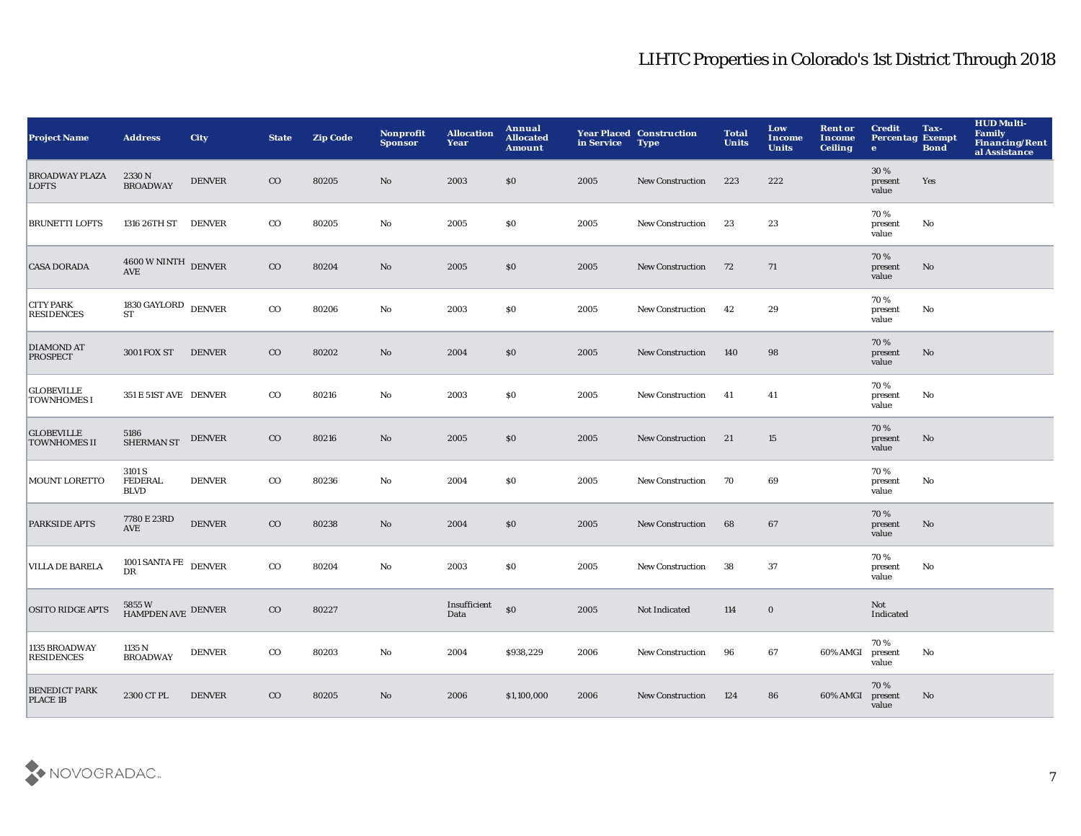| <b>Project Name</b>                      | <b>Address</b>                               | <b>City</b>   | <b>State</b> | <b>Zip Code</b> | <b>Nonprofit</b><br><b>Sponsor</b> | <b>Allocation</b><br>Year | Annual<br><b>Allocated</b><br><b>Amount</b> | in Service | <b>Year Placed Construction</b><br><b>Type</b> | <b>Total</b><br><b>Units</b> | Low<br><b>Income</b><br><b>Units</b> | <b>Rent or</b><br><b>Income</b><br><b>Ceiling</b> | <b>Credit</b><br><b>Percentag Exempt</b><br>$\bullet$ | Tax-<br><b>Bond</b> | <b>HUD Multi-</b><br><b>Family</b><br>Financing/Rent<br>al Assistance |
|------------------------------------------|----------------------------------------------|---------------|--------------|-----------------|------------------------------------|---------------------------|---------------------------------------------|------------|------------------------------------------------|------------------------------|--------------------------------------|---------------------------------------------------|-------------------------------------------------------|---------------------|-----------------------------------------------------------------------|
| <b>BROADWAY PLAZA</b><br><b>LOFTS</b>    | 2330N<br><b>BROADWAY</b>                     | <b>DENVER</b> | $_{\rm CO}$  | 80205           | No                                 | 2003                      | \$0                                         | 2005       | <b>New Construction</b>                        | 223                          | 222                                  |                                                   | 30%<br>present<br>value                               | Yes                 |                                                                       |
| <b>BRUNETTI LOFTS</b>                    | 1316 26TH ST DENVER                          |               | $_{\rm CO}$  | 80205           | No                                 | 2005                      | \$0                                         | 2005       | <b>New Construction</b>                        | 23                           | 23                                   |                                                   | 70%<br>present<br>value                               | No                  |                                                                       |
| <b>CASA DORADA</b>                       | $4600\,\rm{W\,NINTH}$ DENVER                 |               | $_{\rm CO}$  | 80204           | $\mathbf{No}$                      | 2005                      | \$0                                         | 2005       | <b>New Construction</b>                        | 72                           | 71                                   |                                                   | 70%<br>present<br>value                               | No                  |                                                                       |
| <b>CITY PARK</b><br><b>RESIDENCES</b>    | $1830\,\mathrm{GAYLORD}$ DENVER<br><b>ST</b> |               | $_{\rm CO}$  | 80206           | No                                 | 2003                      | \$0                                         | 2005       | New Construction                               | 42                           | 29                                   |                                                   | 70%<br>present<br>value                               | No                  |                                                                       |
| <b>DIAMOND AT</b><br><b>PROSPECT</b>     | <b>3001 FOX ST</b>                           | <b>DENVER</b> | $_{\rm CO}$  | 80202           | No                                 | 2004                      | \$0                                         | 2005       | <b>New Construction</b>                        | 140                          | 98                                   |                                                   | 70%<br>present<br>value                               | No                  |                                                                       |
| <b>GLOBEVILLE</b><br><b>TOWNHOMES I</b>  | 351 E 51ST AVE DENVER                        |               | $_{\rm CO}$  | 80216           | No                                 | 2003                      | \$0                                         | 2005       | New Construction                               | 41                           | 41                                   |                                                   | 70%<br>present<br>value                               | No                  |                                                                       |
| <b>GLOBEVILLE</b><br><b>TOWNHOMES II</b> | 5186<br><b>SHERMAN ST</b>                    | <b>DENVER</b> | $_{\rm CO}$  | 80216           | $\mathbf{N}\mathbf{o}$             | 2005                      | $\$0$                                       | 2005       | <b>New Construction</b>                        | 21                           | 15                                   |                                                   | 70%<br>present<br>value                               | $\mathbf{No}$       |                                                                       |
| <b>MOUNT LORETTO</b>                     | 3101 S<br><b>FEDERAL</b><br><b>BLVD</b>      | <b>DENVER</b> | $_{\rm CO}$  | 80236           | No                                 | 2004                      | \$0                                         | 2005       | New Construction                               | 70                           | 69                                   |                                                   | 70%<br>present<br>value                               | No                  |                                                                       |
| <b>PARKSIDE APTS</b>                     | 7780 E 23RD<br><b>AVE</b>                    | <b>DENVER</b> | $_{\rm CO}$  | 80238           | No                                 | 2004                      | \$0                                         | 2005       | <b>New Construction</b>                        | 68                           | 67                                   |                                                   | 70%<br>present<br>value                               | No                  |                                                                       |
| <b>VILLA DE BARELA</b>                   | 1001 SANTA FE<br>DR                          | <b>DENVER</b> | $_{\rm CO}$  | 80204           | $\mathbf {No}$                     | 2003                      | \$0                                         | 2005       | <b>New Construction</b>                        | 38                           | 37                                   |                                                   | 70%<br>present<br>value                               | No                  |                                                                       |
| <b>OSITO RIDGE APTS</b>                  | $5855\,\mathrm{W}$ HAMPDEN AVE $\,$ DENVER   |               | $_{\rm CO}$  | 80227           |                                    | Insufficient<br>Data      | $\mathbf{S}$                                | 2005       | Not Indicated                                  | 114                          | $\mathbf 0$                          |                                                   | Not<br>Indicated                                      |                     |                                                                       |
| 1135 BROADWAY<br><b>RESIDENCES</b>       | 1135 N<br><b>BROADWAY</b>                    | <b>DENVER</b> | $_{\rm CO}$  | 80203           | No                                 | 2004                      | \$938,229                                   | 2006       | <b>New Construction</b>                        | 96                           | 67                                   | 60% AMGI                                          | 70%<br>present<br>value                               | No                  |                                                                       |
| <b>BENEDICT PARK</b><br>PLACE 1B         | 2300 CT PL                                   | <b>DENVER</b> | $_{\rm CO}$  | 80205           | $\mathbf{No}$                      | 2006                      | \$1,100,000                                 | 2006       | <b>New Construction</b>                        | 124                          | 86                                   | 60% AMGI                                          | 70%<br>present<br>value                               | No                  |                                                                       |

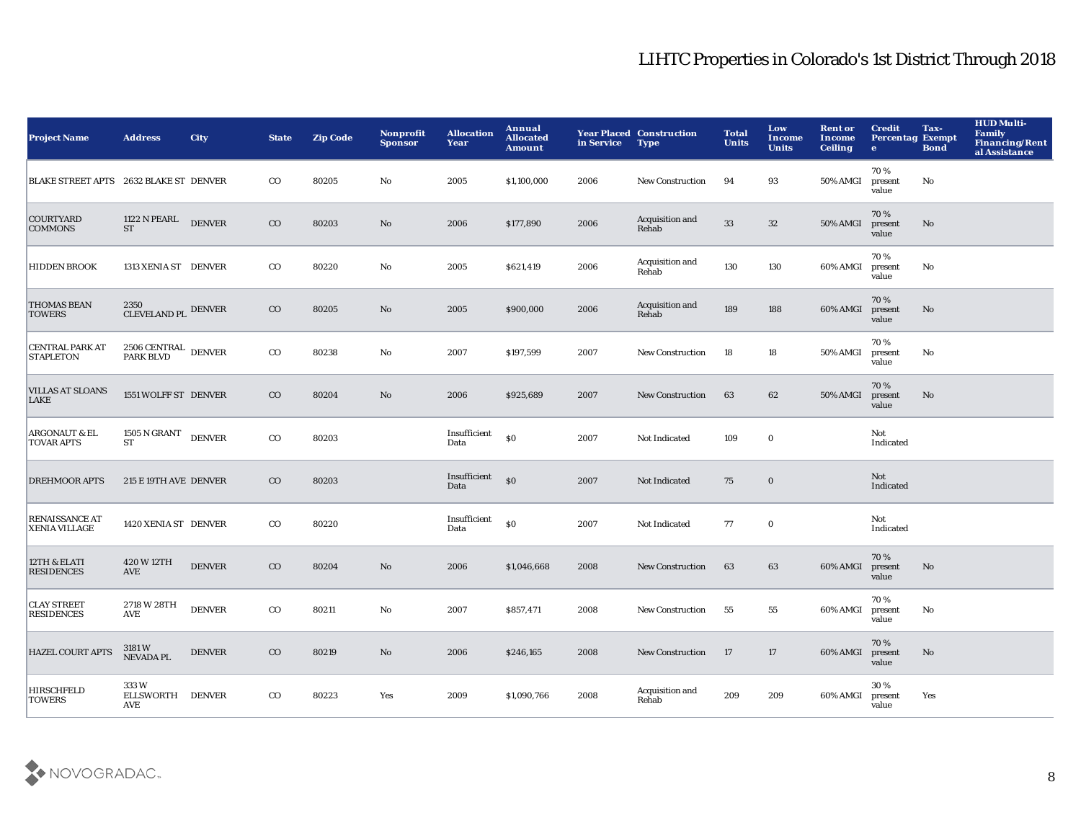| <b>Project Name</b>                           | <b>Address</b>                             | <b>City</b>   | <b>State</b> | <b>Zip Code</b> | <b>Nonprofit</b><br><b>Sponsor</b> | <b>Allocation</b><br>Year | Annual<br><b>Allocated</b><br><b>Amount</b> | in Service | <b>Year Placed Construction</b><br><b>Type</b> | <b>Total</b><br><b>Units</b> | Low<br>Income<br><b>Units</b> | <b>Rent or</b><br><b>Income</b><br><b>Ceiling</b> | <b>Credit</b><br><b>Percentag Exempt</b><br>$\bullet$ | Tax-<br><b>Bond</b> | <b>HUD Multi-</b><br><b>Family</b><br><b>Financing/Rent</b><br>al Assistance |
|-----------------------------------------------|--------------------------------------------|---------------|--------------|-----------------|------------------------------------|---------------------------|---------------------------------------------|------------|------------------------------------------------|------------------------------|-------------------------------|---------------------------------------------------|-------------------------------------------------------|---------------------|------------------------------------------------------------------------------|
| BLAKE STREET APTS 2632 BLAKE ST DENVER        |                                            |               | $_{\rm CO}$  | 80205           | No                                 | 2005                      | \$1,100,000                                 | 2006       | New Construction                               | 94                           | 93                            | 50% AMGI                                          | 70%<br>present<br>value                               | No                  |                                                                              |
| <b>COURTYARD</b><br><b>COMMONS</b>            | $1122$ N PEARL<br><b>ST</b>                | <b>DENVER</b> | $_{\rm CO}$  | 80203           | $\mathbf{No}$                      | 2006                      | \$177,890                                   | 2006       | Acquisition and<br>Rehab                       | 33                           | $32\,$                        | 50% AMGI                                          | 70%<br>present<br>value                               | No                  |                                                                              |
| <b>HIDDEN BROOK</b>                           | 1313 XENIA ST DENVER                       |               | $_{\rm CO}$  | 80220           | No                                 | 2005                      | \$621,419                                   | 2006       | Acquisition and<br>Rehab                       | 130                          | 130                           | 60% AMGI                                          | 70%<br>present<br>value                               | No                  |                                                                              |
| <b>THOMAS BEAN</b><br><b>TOWERS</b>           | 2350<br>CLEVELAND PL DENVER                |               | $_{\rm CO}$  | 80205           | $\mathbf{No}$                      | 2005                      | \$900,000                                   | 2006       | Acquisition and<br>Rehab                       | 189                          | 188                           | 60% AMGI                                          | 70%<br>present<br>value                               | No                  |                                                                              |
| <b>CENTRAL PARK AT</b><br><b>STAPLETON</b>    | $2506$ CENTRAL $\,$ DENVER PARK BLVD       |               | $_{\rm CO}$  | 80238           | No                                 | 2007                      | \$197,599                                   | 2007       | <b>New Construction</b>                        | 18                           | 18                            | <b>50% AMGI</b>                                   | 70%<br>present<br>value                               | No                  |                                                                              |
| <b>VILLAS AT SLOANS</b><br><b>LAKE</b>        | 1551 WOLFF ST DENVER                       |               | $_{\rm CO}$  | 80204           | No                                 | 2006                      | \$925,689                                   | 2007       | <b>New Construction</b>                        | 63                           | 62                            | 50% AMGI                                          | 70%<br>present<br>value                               | No                  |                                                                              |
| <b>ARGONAUT &amp; EL</b><br><b>TOVAR APTS</b> | $1505$ N GRANT $\quad$ DENVER<br><b>ST</b> |               | $_{\rm CO}$  | 80203           |                                    | Insufficient<br>Data      | \$0                                         | 2007       | Not Indicated                                  | 109                          | $\bf{0}$                      |                                                   | Not<br>Indicated                                      |                     |                                                                              |
| <b>DREHMOOR APTS</b>                          | 215 E 19TH AVE DENVER                      |               | $_{\rm CO}$  | 80203           |                                    | Insufficient<br>Data      | \$0                                         | 2007       | Not Indicated                                  | 75                           | $\bf{0}$                      |                                                   | Not<br>Indicated                                      |                     |                                                                              |
| <b>RENAISSANCE AT</b><br><b>XENIA VILLAGE</b> | 1420 XENIA ST DENVER                       |               | $_{\rm CO}$  | 80220           |                                    | Insufficient<br>Data      | $\$0$                                       | 2007       | Not Indicated                                  | 77                           | $\mathbf 0$                   |                                                   | Not<br>Indicated                                      |                     |                                                                              |
| 12TH & ELATI<br><b>RESIDENCES</b>             | 420 W 12TH<br><b>AVE</b>                   | <b>DENVER</b> | $_{\rm CO}$  | 80204           | $\mathbf{N}\mathbf{o}$             | 2006                      | \$1,046,668                                 | 2008       | <b>New Construction</b>                        | 63                           | 63                            | 60% AMGI                                          | 70%<br>present<br>value                               | No                  |                                                                              |
| <b>CLAY STREET</b><br><b>RESIDENCES</b>       | 2718 W 28TH<br><b>AVE</b>                  | <b>DENVER</b> | $_{\rm CO}$  | 80211           | No                                 | 2007                      | \$857,471                                   | 2008       | <b>New Construction</b>                        | 55                           | 55                            | 60% AMGI                                          | 70%<br>present<br>value                               | No                  |                                                                              |
| <b>HAZEL COURT APTS</b>                       | 3181 W<br>NEVADA PL                        | <b>DENVER</b> | $_{\rm CO}$  | 80219           | No                                 | 2006                      | \$246,165                                   | 2008       | <b>New Construction</b>                        | 17                           | 17                            | 60% AMGI                                          | 70%<br>present<br>value                               | No                  |                                                                              |
| <b>HIRSCHFELD</b><br><b>TOWERS</b>            | 333W<br>ELLSWORTH DENVER<br>AVE            |               | $_{\rm CO}$  | 80223           | Yes                                | 2009                      | \$1,090,766                                 | 2008       | Acquisition and<br>Rehab                       | 209                          | 209                           | 60% AMGI                                          | 30%<br>present<br>value                               | Yes                 |                                                                              |

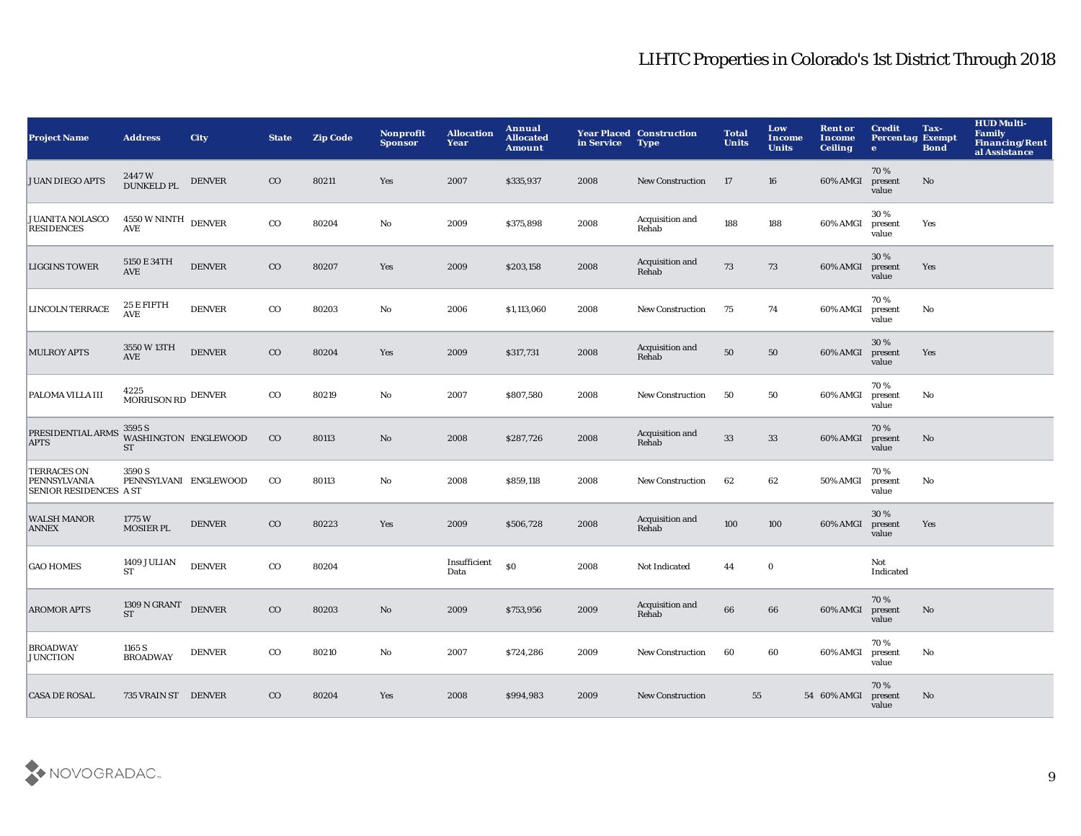| <b>Project Name</b>                                                 | <b>Address</b>                              | <b>City</b>   | <b>State</b> | <b>Zip Code</b> | <b>Nonprofit</b><br><b>Sponsor</b> | <b>Allocation</b><br>Year | Annual<br><b>Allocated</b><br><b>Amount</b>      | in Service | <b>Year Placed Construction</b><br><b>Type</b> | <b>Total</b><br><b>Units</b> | Low<br>Income<br><b>Units</b> | <b>Rent or</b><br>Income<br><b>Ceiling</b> | <b>Credit</b><br><b>Percentag Exempt</b><br>$\mathbf{e}$ | Tax-<br><b>Bond</b>    | <b>HUD Multi-</b><br><b>Family</b><br><b>Financing/Rent</b><br>al Assistance |
|---------------------------------------------------------------------|---------------------------------------------|---------------|--------------|-----------------|------------------------------------|---------------------------|--------------------------------------------------|------------|------------------------------------------------|------------------------------|-------------------------------|--------------------------------------------|----------------------------------------------------------|------------------------|------------------------------------------------------------------------------|
| <b>JUAN DIEGO APTS</b>                                              | 2447W<br><b>DUNKELD PL</b>                  | <b>DENVER</b> | $_{\rm CO}$  | 80211           | Yes                                | 2007                      | \$335,937                                        | 2008       | <b>New Construction</b>                        | 17                           | 16                            | 60% AMGI                                   | 70%<br>present<br>value                                  | $\mathbf{N}\mathbf{o}$ |                                                                              |
| <b>JUANITA NOLASCO</b><br><b>RESIDENCES</b>                         | 4550 W NINTH DENVER<br>$\operatorname{AVE}$ |               | $_{\rm CO}$  | 80204           | $\mathbf{No}$                      | 2009                      | \$375,898                                        | 2008       | Acquisition and<br>Rehab                       | 188                          | 188                           | 60% AMGI                                   | 30%<br>present<br>value                                  | Yes                    |                                                                              |
| <b>LIGGINS TOWER</b>                                                | 5150 E 34TH<br><b>AVE</b>                   | <b>DENVER</b> | $_{\rm CO}$  | 80207           | Yes                                | 2009                      | \$203,158                                        | 2008       | Acquisition and<br>Rehab                       | 73                           | 73                            | 60% AMGI                                   | 30 %<br>present<br>value                                 | Yes                    |                                                                              |
| <b>LINCOLN TERRACE</b>                                              | 25 E FIFTH<br><b>AVE</b>                    | <b>DENVER</b> | $_{\rm CO}$  | 80203           | No                                 | 2006                      | \$1,113,060                                      | 2008       | New Construction                               | 75                           | 74                            | 60% AMGI                                   | 70%<br>present<br>value                                  | No                     |                                                                              |
| <b>MULROY APTS</b>                                                  | 3550 W 13TH<br><b>AVE</b>                   | <b>DENVER</b> | $_{\rm CO}$  | 80204           | Yes                                | 2009                      | \$317,731                                        | 2008       | Acquisition and<br>Rehab                       | 50                           | 50                            | 60% AMGI                                   | 30%<br>present<br>value                                  | Yes                    |                                                                              |
| <b>PALOMA VILLA III</b>                                             | 4225<br>MORRISON RD DENVER                  |               | $_{\rm CO}$  | 80219           | No                                 | 2007                      | \$807,580                                        | 2008       | <b>New Construction</b>                        | 50                           | 50                            | 60% AMGI                                   | 70%<br>present<br>value                                  | No                     |                                                                              |
| PRESIDENTIAL ARMS<br><b>APTS</b>                                    | 3595 S<br>WASHINGTON ENGLEWOOD<br><b>ST</b> |               | $_{\rm CO}$  | 80113           | No                                 | 2008                      | \$287,726                                        | 2008       | Acquisition and<br>Rehab                       | 33                           | $33\,$                        | 60% AMGI                                   | 70%<br>present<br>value                                  | No                     |                                                                              |
| <b>TERRACES ON</b><br>PENNSYLVANIA<br><b>SENIOR RESIDENCES A ST</b> | 3590 S<br>PENNSYLVANI ENGLEWOOD             |               | $_{\rm CO}$  | 80113           | $\mathbf{No}$                      | 2008                      | \$859,118                                        | 2008       | New Construction                               | 62                           | 62                            | 50% AMGI                                   | 70%<br>present<br>value                                  | No                     |                                                                              |
| <b>WALSH MANOR</b><br><b>ANNEX</b>                                  | 1775W<br>MOSIER PL                          | <b>DENVER</b> | $_{\rm CO}$  | 80223           | Yes                                | 2009                      | \$506,728                                        | 2008       | Acquisition and<br>Rehab                       | 100                          | 100                           | 60% AMGI                                   | 30 %<br>present<br>value                                 | Yes                    |                                                                              |
| <b>GAO HOMES</b>                                                    | 1409 JULIAN<br>${\cal S}{\cal T}$           | <b>DENVER</b> | $_{\rm CO}$  | 80204           |                                    | Insufficient<br>Data      | $\boldsymbol{\mathsf{S}}\boldsymbol{\mathsf{O}}$ | 2008       | Not Indicated                                  | 44                           | $\bf{0}$                      |                                            | Not<br>Indicated                                         |                        |                                                                              |
| <b>AROMOR APTS</b>                                                  | 1309 N GRANT DENVER<br><b>ST</b>            |               | $_{\rm CO}$  | 80203           | No                                 | 2009                      | \$753,956                                        | 2009       | Acquisition and<br>Rehab                       | 66                           | 66                            | 60% AMGI                                   | 70%<br>present<br>value                                  | $\mathbf{N}\mathbf{o}$ |                                                                              |
| <b>BROADWAY</b><br><b>JUNCTION</b>                                  | 1165 S<br><b>BROADWAY</b>                   | <b>DENVER</b> | $_{\rm CO}$  | 80210           | No                                 | 2007                      | \$724,286                                        | 2009       | <b>New Construction</b>                        | 60                           | 60                            | 60% AMGI                                   | 70%<br>present<br>value                                  | No                     |                                                                              |
| <b>CASA DE ROSAL</b>                                                | 735 VRAIN ST DENVER                         |               | $_{\rm CO}$  | 80204           | <b>Yes</b>                         | 2008                      | \$994,983                                        | 2009       | <b>New Construction</b>                        | 55                           |                               | 54 60% AMGI                                | 70%<br>present<br>value                                  | No                     |                                                                              |

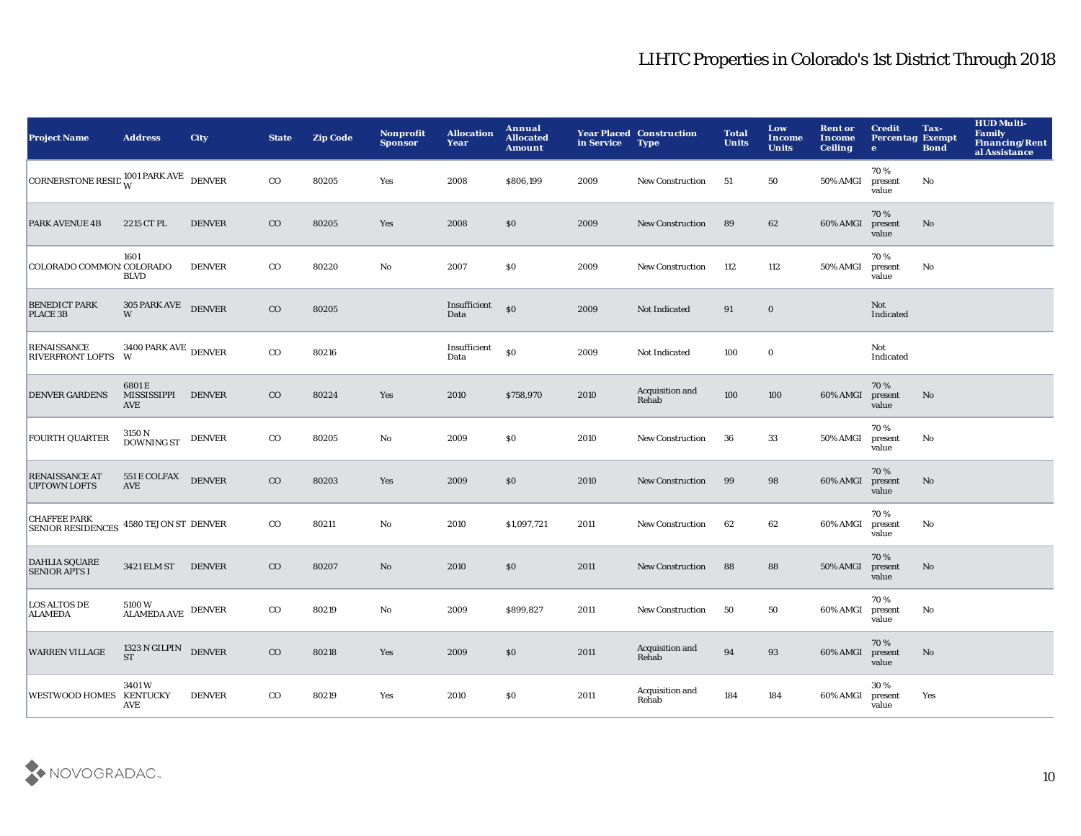| <b>Project Name</b>                             | <b>Address</b>                       | <b>City</b>   | <b>State</b> | <b>Zip Code</b> | <b>Nonprofit</b><br><b>Sponsor</b> | <b>Allocation</b><br>Year | <b>Annual</b><br><b>Allocated</b><br><b>Amount</b> | in Service | <b>Year Placed Construction</b><br><b>Type</b> | <b>Total</b><br><b>Units</b> | Low<br>Income<br><b>Units</b> | <b>Rent or</b><br><b>Income</b><br><b>Ceiling</b> | <b>Credit</b><br><b>Percentag Exempt</b><br>$\bullet$ | Tax-<br><b>Bond</b> | <b>HUD Multi-</b><br><b>Family</b><br><b>Financing/Rent</b><br>al Assistance |
|-------------------------------------------------|--------------------------------------|---------------|--------------|-----------------|------------------------------------|---------------------------|----------------------------------------------------|------------|------------------------------------------------|------------------------------|-------------------------------|---------------------------------------------------|-------------------------------------------------------|---------------------|------------------------------------------------------------------------------|
| CORNERSTONE RESID $^{1001}_{W}$ PARK AVE DENVER |                                      |               | $_{\rm CO}$  | 80205           | Yes                                | 2008                      | \$806,199                                          | 2009       | <b>New Construction</b>                        | 51                           | 50                            | 50% AMGI                                          | 70%<br>present<br>value                               | No                  |                                                                              |
| <b>PARK AVENUE 4B</b>                           | 2215 CT PL                           | <b>DENVER</b> | $_{\rm CO}$  | 80205           | Yes                                | 2008                      | \$0                                                | 2009       | <b>New Construction</b>                        | 89                           | 62                            | 60% AMGI                                          | 70%<br>present<br>value                               | No                  |                                                                              |
| COLORADO COMMON: COLORADO                       | 1601<br><b>BLVD</b>                  | <b>DENVER</b> | $_{\rm CO}$  | 80220           | $\mathbf {No}$                     | 2007                      | $\$0$                                              | 2009       | <b>New Construction</b>                        | 112                          | 112                           | <b>50% AMGI</b>                                   | 70%<br>present<br>value                               | No                  |                                                                              |
| <b>BENEDICT PARK</b><br>PLACE 3B                | 305 PARK AVE<br>W                    | <b>DENVER</b> | $_{\rm CO}$  | 80205           |                                    | Insufficient<br>Data      | \$0                                                | 2009       | Not Indicated                                  | 91                           | $\mathbf 0$                   |                                                   | Not<br>Indicated                                      |                     |                                                                              |
| <b>RENAISSANCE</b><br>RIVERFRONT LOFTS W        | $3400$ PARK AVE $\,$ DENVER $\,$     |               | $_{\rm CO}$  | 80216           |                                    | Insufficient<br>Data      | $\$0$                                              | 2009       | Not Indicated                                  | 100                          | $\bf{0}$                      |                                                   | Not<br>Indicated                                      |                     |                                                                              |
| <b>DENVER GARDENS</b>                           | 6801E<br>MISSISSIPPI<br>AVE          | <b>DENVER</b> | $_{\rm CO}$  | 80224           | Yes                                | 2010                      | \$758,970                                          | 2010       | Acquisition and<br>Rehab                       | 100                          | 100                           | 60% AMGI                                          | 70%<br>present<br>value                               | No                  |                                                                              |
| <b>FOURTH QUARTER</b>                           | 3150 N<br><b>DOWNING ST</b>          | <b>DENVER</b> | $_{\rm CO}$  | 80205           | No                                 | 2009                      | \$0                                                | 2010       | <b>New Construction</b>                        | 36                           | 33                            | 50% AMGI                                          | 70%<br>present<br>value                               | No                  |                                                                              |
| <b>RENAISSANCE AT</b><br><b>UPTOWN LOFTS</b>    | 551 E COLFAX<br><b>AVE</b>           | <b>DENVER</b> | $_{\rm CO}$  | 80203           | Yes                                | 2009                      | \$0                                                | 2010       | <b>New Construction</b>                        | 99                           | 98                            | 60% AMGI                                          | 70%<br>present<br>value                               | No                  |                                                                              |
| <b>CHAFFEE PARK</b><br><b>SENIOR RESIDENCES</b> | 4580 TEJON ST DENVER                 |               | $_{\rm CO}$  | 80211           | No                                 | 2010                      | \$1,097,721                                        | 2011       | New Construction                               | 62                           | 62                            | 60% AMGI                                          | 70%<br>present<br>value                               | No                  |                                                                              |
| <b>DAHLIA SQUARE</b><br><b>SENIOR APTS I</b>    | 3421 ELM ST                          | <b>DENVER</b> | $_{\rm CO}$  | 80207           | $\mathbf{No}$                      | 2010                      | \$0                                                | 2011       | <b>New Construction</b>                        | 88                           | 88                            | 50% AMGI                                          | 70%<br>present<br>value                               | No                  |                                                                              |
| <b>LOS ALTOS DE</b><br><b>ALAMEDA</b>           | 5100W<br>$\mbox{ALAMEDA AVE}$ DENVER |               | $_{\rm CO}$  | 80219           | No                                 | 2009                      | \$899,827                                          | 2011       | New Construction                               | 50                           | 50                            | 60% AMGI                                          | 70%<br>present<br>value                               | No                  |                                                                              |
| <b>WARREN VILLAGE</b>                           | 1323 N GILPIN DENVER<br><b>ST</b>    |               | $_{\rm CO}$  | 80218           | Yes                                | 2009                      | \$0                                                | 2011       | Acquisition and<br>Rehab                       | 94                           | 93                            | 60% AMGI                                          | 70%<br>present<br>value                               | No                  |                                                                              |
| <b>WESTWOOD HOMES</b>                           | 3401W<br><b>KENTUCKY</b><br>AVE      | <b>DENVER</b> | $_{\rm CO}$  | 80219           | Yes                                | 2010                      | \$0                                                | 2011       | Acquisition and<br>Rehab                       | 184                          | 184                           | 60% AMGI                                          | 30%<br>present<br>value                               | Yes                 |                                                                              |

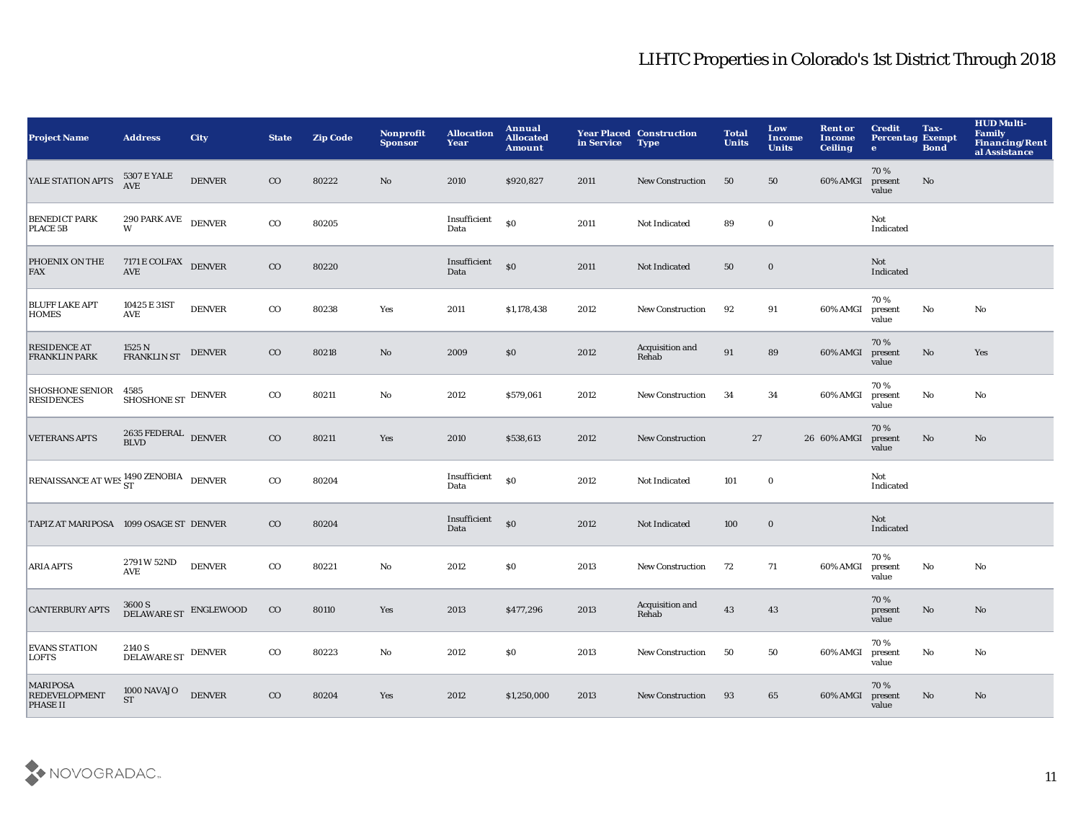| <b>Project Name</b>                                        | <b>Address</b>                                        | <b>City</b>   | <b>State</b> | <b>Zip Code</b> | <b>Nonprofit</b><br><b>Sponsor</b> | <b>Allocation</b><br>Year | Annual<br><b>Allocated</b><br><b>Amount</b> | in Service | <b>Year Placed Construction</b><br><b>Type</b> | <b>Total</b><br><b>Units</b> | Low<br>Income<br><b>Units</b> | <b>Rent or</b><br>Income<br><b>Ceiling</b> | <b>Credit</b><br><b>Percentag Exempt</b><br>$\bullet$ | Tax-<br><b>Bond</b>    | <b>HUD Multi-</b><br>Family<br><b>Financing/Rent</b><br>al Assistance |
|------------------------------------------------------------|-------------------------------------------------------|---------------|--------------|-----------------|------------------------------------|---------------------------|---------------------------------------------|------------|------------------------------------------------|------------------------------|-------------------------------|--------------------------------------------|-------------------------------------------------------|------------------------|-----------------------------------------------------------------------|
| YALE STATION APTS                                          | 5307 E YALE<br>AVE                                    | <b>DENVER</b> | $\rm{CO}$    | 80222           | No                                 | 2010                      | \$920,827                                   | 2011       | <b>New Construction</b>                        | 50                           | 50                            | 60% AMGI                                   | 70%<br>present<br>value                               | No                     |                                                                       |
| <b>BENEDICT PARK</b><br>PLACE 5B                           | $290$ PARK AVE $\;$ DENVER $\;$                       |               | $_{\rm CO}$  | 80205           |                                    | Insufficient<br>Data      | S <sub>0</sub>                              | 2011       | Not Indicated                                  | 89                           | $\mathbf 0$                   |                                            | Not<br>Indicated                                      |                        |                                                                       |
| PHOENIX ON THE<br>FAX                                      | 7171 E COLFAX DENVER<br>$\operatorname{\mathbf{AVE}}$ |               | $\rm{CO}$    | 80220           |                                    | Insufficient<br>Data      | $\mathbf{S}$                                | 2011       | Not Indicated                                  | ${\bf 50}$                   | $\mathbf 0$                   |                                            | Not<br>Indicated                                      |                        |                                                                       |
| <b>BLUFF LAKE APT</b><br><b>HOMES</b>                      | 10425 E 31ST<br><b>AVE</b>                            | <b>DENVER</b> | $_{\rm CO}$  | 80238           | Yes                                | 2011                      | \$1,178,438                                 | 2012       | <b>New Construction</b>                        | 92                           | 91                            | 60% AMGI                                   | 70%<br>present<br>value                               | $\mathbf{No}$          | No                                                                    |
| <b>RESIDENCE AT</b><br><b>FRANKLIN PARK</b>                | 1525 N<br><b>FRANKLIN ST</b>                          | <b>DENVER</b> | $_{\rm CO}$  | 80218           | $\mathbf{N}\mathbf{o}$             | 2009                      | \$0                                         | 2012       | Acquisition and<br>Rehab                       | 91                           | 89                            | 60% AMGI                                   | 70%<br>present<br>value                               | $\mathbf{N}\mathbf{o}$ | Yes                                                                   |
| <b>SHOSHONE SENIOR</b><br><b>RESIDENCES</b>                | 4585<br>SHOSHONE ST DENVER                            |               | $_{\rm CO}$  | 80211           | No                                 | 2012                      | \$579,061                                   | 2012       | <b>New Construction</b>                        | 34                           | 34                            | 60% AMGI                                   | 70%<br>present<br>value                               | No                     | No                                                                    |
| <b>VETERANS APTS</b>                                       | $2635$ FEDERAL $\,$ DENVER<br><b>BLVD</b>             |               | $\rm{CO}$    | 80211           | Yes                                | 2010                      | \$538,613                                   | 2012       | <b>New Construction</b>                        |                              | 27                            | 26 60% AMGI                                | 70%<br>present<br>value                               | No                     | No                                                                    |
| RENAISSANCE AT WES <sup>1490</sup> ZENOBIA DENVER          |                                                       |               | $_{\rm CO}$  | 80204           |                                    | Insufficient<br>Data      | \$0                                         | 2012       | Not Indicated                                  | 101                          | $\mathbf 0$                   |                                            | Not<br>Indicated                                      |                        |                                                                       |
| TAPIZ AT MARIPOSA 1099 OSAGE ST DENVER                     |                                                       |               | $\rm{CO}$    | 80204           |                                    | Insufficient<br>Data      | \$0                                         | 2012       | Not Indicated                                  | 100                          | $\mathbf 0$                   |                                            | Not<br>Indicated                                      |                        |                                                                       |
| <b>ARIA APTS</b>                                           | 2791 W 52ND<br><b>AVE</b>                             | <b>DENVER</b> | $_{\rm CO}$  | 80221           | $\mathbf {No}$                     | 2012                      | \$0                                         | 2013       | New Construction                               | 72                           | 71                            | 60% AMGI                                   | 70%<br>present<br>value                               | $\mathbf {No}$         | No                                                                    |
| <b>CANTERBURY APTS</b>                                     | $3600\,\mathrm{S}$ DELAWARE ST $\,$ ENGLEWOOD         |               | $_{\rm CO}$  | 80110           | Yes                                | 2013                      | \$477,296                                   | 2013       | Acquisition and<br>Rehab                       | 43                           | 43                            |                                            | 70%<br>present<br>value                               | No                     | No                                                                    |
| <b>EVANS STATION</b><br><b>LOFTS</b>                       | $2140\,\mathrm{S}$ DENVER DELAWARE ST $\,$ DENVER     |               | $_{\rm CO}$  | 80223           | No                                 | 2012                      | <b>SO</b>                                   | 2013       | <b>New Construction</b>                        | 50                           | 50                            | 60% AMGI                                   | 70%<br>present<br>value                               | No                     | No                                                                    |
| <b>MARIPOSA</b><br><b>REDEVELOPMENT</b><br><b>PHASE II</b> | 1000 NAVAJO<br><b>ST</b>                              | <b>DENVER</b> | $\rm{CO}$    | 80204           | Yes                                | 2012                      | \$1,250,000                                 | 2013       | <b>New Construction</b>                        | 93                           | 65                            | 60% AMGI                                   | 70%<br>present<br>value                               | No                     | No                                                                    |

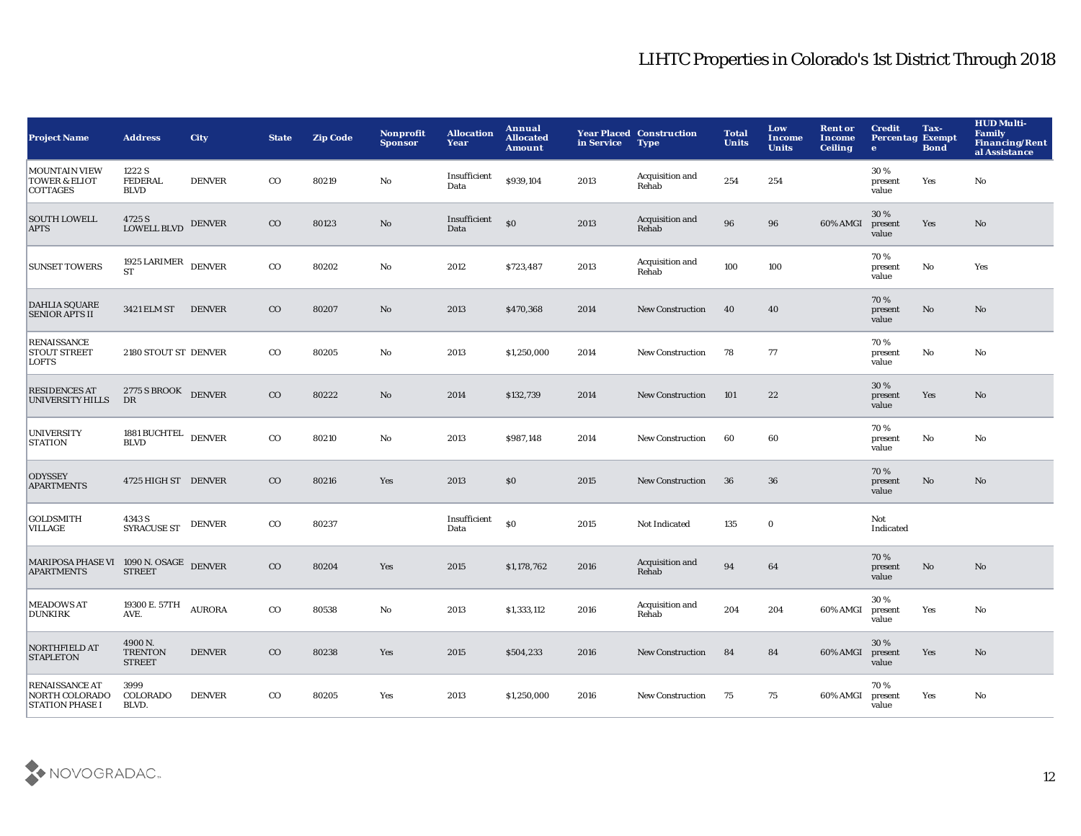| <b>Project Name</b>                                                      | <b>Address</b>                             | <b>City</b>   | <b>State</b> | <b>Zip Code</b> | Nonprofit<br><b>Sponsor</b> | <b>Allocation</b><br>Year | Annual<br><b>Allocated</b><br><b>Amount</b> | in Service | <b>Year Placed Construction</b><br><b>Type</b> | <b>Total</b><br><b>Units</b> | Low<br><b>Income</b><br><b>Units</b> | <b>Rent or</b><br>Income<br><b>Ceiling</b> | <b>Credit</b><br><b>Percentag Exempt</b><br>$\bullet$ | Tax-<br><b>Bond</b> | <b>HUD Multi-</b><br><b>Family</b><br><b>Financing/Rent</b><br>al Assistance |
|--------------------------------------------------------------------------|--------------------------------------------|---------------|--------------|-----------------|-----------------------------|---------------------------|---------------------------------------------|------------|------------------------------------------------|------------------------------|--------------------------------------|--------------------------------------------|-------------------------------------------------------|---------------------|------------------------------------------------------------------------------|
| <b>MOUNTAIN VIEW</b><br><b>TOWER &amp; ELIOT</b><br><b>COTTAGES</b>      | 1222 S<br><b>FEDERAL</b><br><b>BLVD</b>    | <b>DENVER</b> | $_{\rm CO}$  | 80219           | No                          | Insufficient<br>Data      | \$939,104                                   | 2013       | Acquisition and<br>Rehab                       | 254                          | 254                                  |                                            | 30%<br>present<br>value                               | Yes                 | No                                                                           |
| <b>SOUTH LOWELL</b><br><b>APTS</b>                                       | 4725 S<br><b>LOWELL BLVD</b>               | <b>DENVER</b> | $_{\rm CO}$  | 80123           | $\mathbf {No}$              | Insufficient<br>Data      | S <sub>0</sub>                              | 2013       | Acquisition and<br>Rehab                       | 96                           | 96                                   | 60% AMGI                                   | 30%<br>present<br>value                               | Yes                 | No                                                                           |
| <b>SUNSET TOWERS</b>                                                     | 1925 LARIMER $\,$ DENVER<br><b>ST</b>      |               | $_{\rm CO}$  | 80202           | $\rm No$                    | 2012                      | \$723,487                                   | 2013       | Acquisition and<br>Rehab                       | 100                          | 100                                  |                                            | 70%<br>present<br>value                               | $\mathbf {No}$      | Yes                                                                          |
| <b>DAHLIA SQUARE</b><br><b>SENIOR APTS II</b>                            | 3421 ELM ST                                | <b>DENVER</b> | $_{\rm CO}$  | 80207           | No                          | 2013                      | \$470,368                                   | 2014       | <b>New Construction</b>                        | 40                           | 40                                   |                                            | 70%<br>present<br>value                               | No                  | No                                                                           |
| <b>RENAISSANCE</b><br><b>STOUT STREET</b><br><b>LOFTS</b>                | 2180 STOUT ST DENVER                       |               | $_{\rm CO}$  | 80205           | $\mathbf{No}$               | 2013                      | \$1,250,000                                 | 2014       | New Construction                               | 78                           | 77                                   |                                            | 70%<br>present<br>value                               | No                  | No                                                                           |
| <b>RESIDENCES AT</b><br><b>UNIVERSITY HILLS</b>                          | 2775 S BROOK DENVER<br>DR                  |               | $_{\rm CO}$  | 80222           | $\mathbf{N}\mathbf{o}$      | 2014                      | \$132,739                                   | 2014       | <b>New Construction</b>                        | 101                          | 22                                   |                                            | 30%<br>present<br>value                               | Yes                 | No                                                                           |
| <b>UNIVERSITY</b><br><b>STATION</b>                                      | 1881 BUCHTEL DENVER<br><b>BLVD</b>         |               | $_{\rm CO}$  | 80210           | No                          | 2013                      | \$987,148                                   | 2014       | <b>New Construction</b>                        | 60                           | 60                                   |                                            | 70%<br>present<br>value                               | No                  | No                                                                           |
| <b>ODYSSEY</b><br><b>APARTMENTS</b>                                      | 4725 HIGH ST DENVER                        |               | $_{\rm CO}$  | 80216           | Yes                         | 2013                      | \$0                                         | 2015       | <b>New Construction</b>                        | 36                           | 36                                   |                                            | 70%<br>present<br>value                               | No                  | No                                                                           |
| <b>GOLDSMITH</b><br><b>VILLAGE</b>                                       | 4343 S<br><b>SYRACUSE ST</b>               | <b>DENVER</b> | $_{\rm CO}$  | 80237           |                             | Insufficient<br>Data      | \$0                                         | 2015       | Not Indicated                                  | 135                          | $\mathbf 0$                          |                                            | Not<br>Indicated                                      |                     |                                                                              |
| MARIPOSA PHASE VI 1090 N. OSAGE DENVER<br><b>APARTMENTS</b>              | <b>STREET</b>                              |               | $_{\rm CO}$  | 80204           | Yes                         | 2015                      | \$1,178,762                                 | 2016       | Acquisition and<br>Rehab                       | 94                           | 64                                   |                                            | 70%<br>present<br>value                               | No                  | No                                                                           |
| <b>MEADOWS AT</b><br><b>DUNKIRK</b>                                      | 19300 E. 57TH $AURORA$<br>AVE.             |               | $_{\rm CO}$  | 80538           | $\mathbf{No}$               | 2013                      | \$1,333,112                                 | 2016       | Acquisition and<br>Rehab                       | 204                          | 204                                  | 60% AMGI                                   | 30%<br>present<br>value                               | Yes                 | No                                                                           |
| NORTHFIELD AT<br><b>STAPLETON</b>                                        | 4900 N.<br><b>TRENTON</b><br><b>STREET</b> | <b>DENVER</b> | $_{\rm CO}$  | 80238           | Yes                         | 2015                      | \$504,233                                   | 2016       | <b>New Construction</b>                        | 84                           | 84                                   | 60% AMGI                                   | 30%<br>present<br>value                               | Yes                 | No                                                                           |
| <b>RENAISSANCE AT</b><br><b>NORTH COLORADO</b><br><b>STATION PHASE I</b> | 3999<br>COLORADO<br>BLVD.                  | <b>DENVER</b> | $_{\rm CO}$  | 80205           | Yes                         | 2013                      | \$1,250,000                                 | 2016       | <b>New Construction</b>                        | 75                           | 75                                   | 60% AMGI                                   | 70%<br>present<br>value                               | Yes                 | No                                                                           |

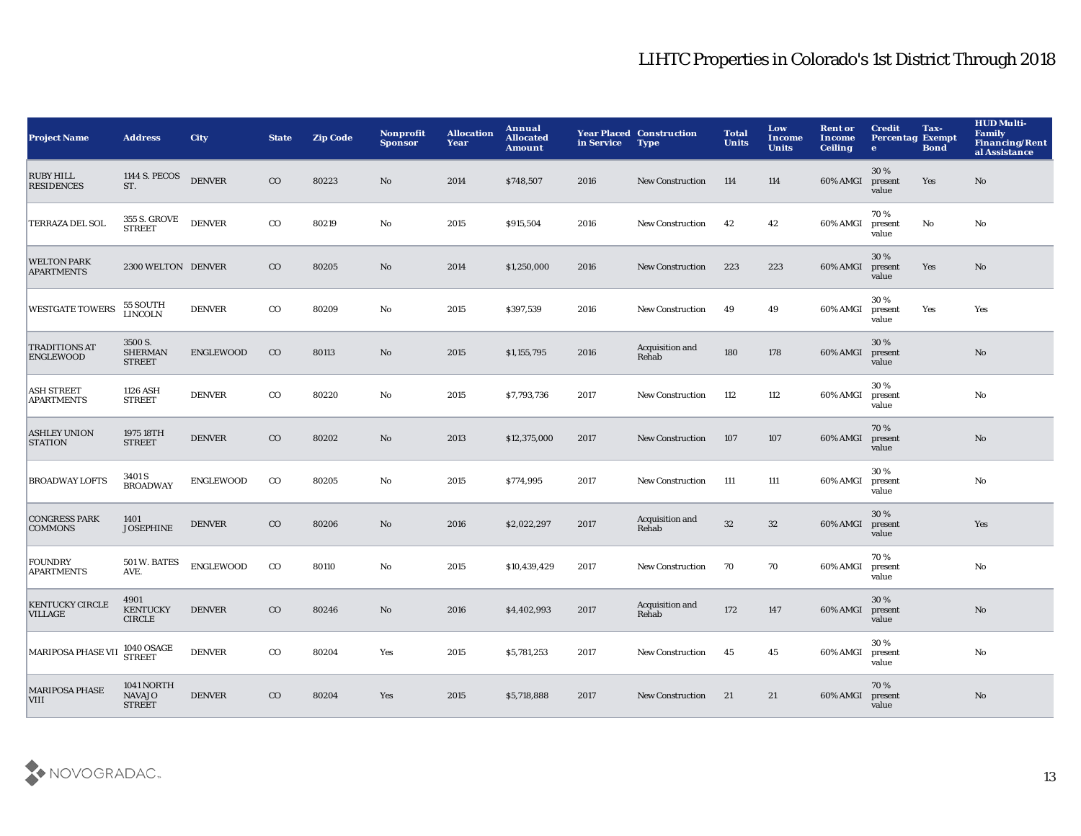| <b>Project Name</b>                      | <b>Address</b>                               | <b>City</b>      | <b>State</b> | <b>Zip Code</b> | <b>Nonprofit</b><br><b>Sponsor</b> | <b>Allocation</b><br>Year | Annual<br><b>Allocated</b><br><b>Amount</b> | in Service | <b>Year Placed Construction</b><br><b>Type</b> | <b>Total</b><br><b>Units</b> | Low<br><b>Income</b><br><b>Units</b> | <b>Rent or</b><br>Income<br><b>Ceiling</b> | <b>Credit</b><br><b>Percentag Exempt</b><br>$\bullet$ | Tax-<br><b>Bond</b> | <b>HUD Multi-</b><br><b>Family</b><br><b>Financing/Rent</b><br>al Assistance |
|------------------------------------------|----------------------------------------------|------------------|--------------|-----------------|------------------------------------|---------------------------|---------------------------------------------|------------|------------------------------------------------|------------------------------|--------------------------------------|--------------------------------------------|-------------------------------------------------------|---------------------|------------------------------------------------------------------------------|
| <b>RUBY HILL</b><br><b>RESIDENCES</b>    | 1144 S. PECOS<br>ST.                         | <b>DENVER</b>    | $_{\rm CO}$  | 80223           | No                                 | 2014                      | \$748,507                                   | 2016       | <b>New Construction</b>                        | 114                          | 114                                  | 60% AMGI                                   | 30%<br>present<br>value                               | Yes                 | $\mathbf{N}\mathbf{o}$                                                       |
| TERRAZA DEL SOL                          | 355 S. GROVE<br><b>STREET</b>                | <b>DENVER</b>    | $_{\rm CO}$  | 80219           | No                                 | 2015                      | \$915,504                                   | 2016       | <b>New Construction</b>                        | 42                           | 42                                   | 60% AMGI                                   | 70%<br>present<br>value                               | $\rm No$            | $\mathbf{No}$                                                                |
| <b>WELTON PARK</b><br><b>APARTMENTS</b>  | 2300 WELTON DENVER                           |                  | $_{\rm CO}$  | 80205           | $\mathbf{No}$                      | 2014                      | \$1,250,000                                 | 2016       | New Construction                               | 223                          | 223                                  | 60% AMGI                                   | 30 %<br>present<br>value                              | Yes                 | $\mathbf{N}\mathbf{o}$                                                       |
| <b>WESTGATE TOWERS</b>                   | 55 SOUTH<br><b>LINCOLN</b>                   | <b>DENVER</b>    | $_{\rm CO}$  | 80209           | No                                 | 2015                      | \$397,539                                   | 2016       | <b>New Construction</b>                        | 49                           | 49                                   | 60% AMGI                                   | 30%<br>present<br>value                               | Yes                 | Yes                                                                          |
| <b>TRADITIONS AT</b><br><b>ENGLEWOOD</b> | 3500 S.<br><b>SHERMAN</b><br><b>STREET</b>   | <b>ENGLEWOOD</b> | $_{\rm CO}$  | 80113           | $\mathbf{No}$                      | 2015                      | \$1,155,795                                 | 2016       | Acquisition and<br>Rehab                       | 180                          | 178                                  | 60% AMGI                                   | 30%<br>present<br>value                               |                     | $\mathbf{N}\mathbf{o}$                                                       |
| <b>ASH STREET</b><br><b>APARTMENTS</b>   | 1126 ASH<br><b>STREET</b>                    | <b>DENVER</b>    | $_{\rm CO}$  | 80220           | No                                 | 2015                      | \$7,793,736                                 | 2017       | <b>New Construction</b>                        | 112                          | 112                                  | 60% AMGI                                   | 30%<br>present<br>value                               |                     | $\mathbf{No}$                                                                |
| <b>ASHLEY UNION</b><br><b>STATION</b>    | 1975 18TH<br><b>STREET</b>                   | <b>DENVER</b>    | $_{\rm CO}$  | 80202           | No                                 | 2013                      | \$12,375,000                                | 2017       | <b>New Construction</b>                        | 107                          | 107                                  | 60% AMGI                                   | 70%<br>present<br>value                               |                     | No                                                                           |
| <b>BROADWAY LOFTS</b>                    | 3401 S<br><b>BROADWAY</b>                    | <b>ENGLEWOOD</b> | $_{\rm CO}$  | 80205           | $\mathbf{N}\mathbf{o}$             | 2015                      | \$774,995                                   | 2017       | <b>New Construction</b>                        | 111                          | 111                                  | 60% AMGI                                   | 30%<br>present<br>value                               |                     | No                                                                           |
| <b>CONGRESS PARK</b><br><b>COMMONS</b>   | 1401<br><b>JOSEPHINE</b>                     | <b>DENVER</b>    | $_{\rm CO}$  | 80206           | $\mathbf{N}\mathbf{o}$             | 2016                      | \$2,022,297                                 | 2017       | Acquisition and<br>Rehab                       | 32                           | $32\,$                               | 60% AMGI                                   | 30 %<br>present<br>value                              |                     | Yes                                                                          |
| <b>FOUNDRY</b><br><b>APARTMENTS</b>      | 501 W. BATES<br>AVE.                         | <b>ENGLEWOOD</b> | $_{\rm CO}$  | 80110           | No                                 | 2015                      | \$10,439,429                                | 2017       | <b>New Construction</b>                        | 70                           | 70                                   | 60% AMGI                                   | 70%<br>present<br>value                               |                     | No                                                                           |
| <b>KENTUCKY CIRCLE</b><br><b>VILLAGE</b> | 4901<br><b>KENTUCKY</b><br><b>CIRCLE</b>     | <b>DENVER</b>    | $_{\rm CO}$  | 80246           | No                                 | 2016                      | \$4,402,993                                 | 2017       | Acquisition and<br>Rehab                       | 172                          | 147                                  | 60% AMGI                                   | 30%<br>present<br>value                               |                     | No                                                                           |
| <b>MARIPOSA PHASE VII</b>                | 1040 OSAGE<br>STREET                         | <b>DENVER</b>    | $_{\rm CO}$  | 80204           | Yes                                | 2015                      | \$5,781,253                                 | 2017       | <b>New Construction</b>                        | 45                           | 45                                   | 60% AMGI                                   | 30%<br>present<br>value                               |                     | No                                                                           |
| <b>MARIPOSA PHASE</b><br><b>VIII</b>     | 1041 NORTH<br><b>NAVAJO</b><br><b>STREET</b> | <b>DENVER</b>    | $_{\rm CO}$  | 80204           | Yes                                | 2015                      | \$5,718,888                                 | 2017       | <b>New Construction</b>                        | 21                           | 21                                   | 60% AMGI                                   | 70%<br>present<br>value                               |                     | No                                                                           |

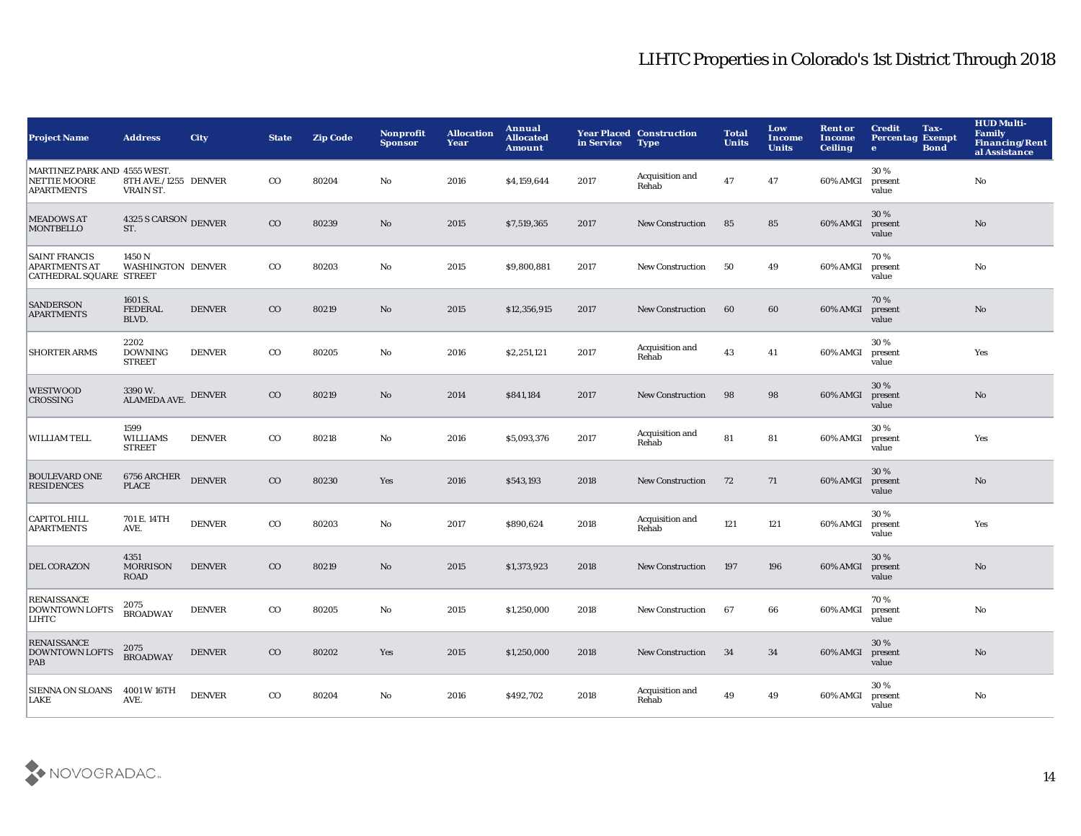| <b>Project Name</b>                                                      | <b>Address</b>                           | <b>City</b>   | <b>State</b> | <b>Zip Code</b> | <b>Nonprofit</b><br><b>Sponsor</b> | <b>Allocation</b><br>Year | Annual<br><b>Allocated</b><br><b>Amount</b> | in Service | <b>Year Placed Construction</b><br><b>Type</b> | <b>Total</b><br><b>Units</b> | Low<br>Income<br><b>Units</b> | <b>Rent or</b><br><b>Income</b><br><b>Ceiling</b> | <b>Credit</b><br>Tax-<br><b>Percentag Exempt</b><br><b>Bond</b><br>$\bullet$ | <b>HUD Multi-</b><br><b>Family</b><br><b>Financing/Rent</b><br>al Assistance |
|--------------------------------------------------------------------------|------------------------------------------|---------------|--------------|-----------------|------------------------------------|---------------------------|---------------------------------------------|------------|------------------------------------------------|------------------------------|-------------------------------|---------------------------------------------------|------------------------------------------------------------------------------|------------------------------------------------------------------------------|
| MARTINEZ PARK AND 4555 WEST.<br><b>NETTIE MOORE</b><br><b>APARTMENTS</b> | 8TH AVE./1255 DENVER<br>VRAIN ST.        |               | $_{\rm CO}$  | 80204           | No                                 | 2016                      | \$4,159,644                                 | 2017       | Acquisition and<br>Rehab                       | 47                           | 47                            | 60% AMGI                                          | 30%<br>present<br>value                                                      | No                                                                           |
| <b>MEADOWS AT</b><br><b>MONTBELLO</b>                                    | 4325 S CARSON DENVER<br>ST.              |               | $_{\rm CO}$  | 80239           | $\rm No$                           | 2015                      | \$7,519,365                                 | 2017       | <b>New Construction</b>                        | 85                           | 85                            | 60% AMGI                                          | 30%<br>present<br>value                                                      | No                                                                           |
| <b>SAINT FRANCIS</b><br><b>APARTMENTS AT</b><br>CATHEDRAL SQUARE STREET  | 1450 N<br><b>WASHINGTON DENVER</b>       |               | $_{\rm CO}$  | 80203           | No                                 | 2015                      | \$9,800,881                                 | 2017       | <b>New Construction</b>                        | 50                           | 49                            | 60% AMGI                                          | 70%<br>present<br>value                                                      | No                                                                           |
| <b>SANDERSON</b><br><b>APARTMENTS</b>                                    | 1601 S.<br><b>FEDERAL</b><br>BLVD.       | <b>DENVER</b> | $_{\rm CO}$  | 80219           | $\mathbf{N}\mathbf{o}$             | 2015                      | \$12,356,915                                | 2017       | <b>New Construction</b>                        | 60                           | 60                            | 60% AMGI                                          | 70%<br>present<br>value                                                      | No                                                                           |
| <b>SHORTER ARMS</b>                                                      | 2202<br><b>DOWNING</b><br><b>STREET</b>  | <b>DENVER</b> | $_{\rm CO}$  | 80205           | No                                 | 2016                      | \$2,251,121                                 | 2017       | Acquisition and<br>Rehab                       | 43                           | 41                            | 60% AMGI                                          | 30%<br>present<br>value                                                      | Yes                                                                          |
| <b>WESTWOOD</b><br><b>CROSSING</b>                                       | 3390W.<br><b>ALAMEDA AVE.</b>            | <b>DENVER</b> | $_{\rm CO}$  | 80219           | No                                 | 2014                      | \$841,184                                   | 2017       | New Construction                               | 98                           | 98                            | 60% AMGI                                          | 30%<br>present<br>value                                                      | No                                                                           |
| WILLIAM TELL                                                             | 1599<br><b>WILLIAMS</b><br><b>STREET</b> | <b>DENVER</b> | $_{\rm CO}$  | 80218           | No                                 | 2016                      | \$5,093,376                                 | 2017       | Acquisition and<br>Rehab                       | 81                           | 81                            | 60% AMGI                                          | 30%<br>present<br>value                                                      | Yes                                                                          |
| <b>BOULEVARD ONE</b><br><b>RESIDENCES</b>                                | 6756 ARCHER<br><b>PLACE</b>              | <b>DENVER</b> | $_{\rm CO}$  | 80230           | Yes                                | 2016                      | \$543,193                                   | 2018       | <b>New Construction</b>                        | 72                           | 71                            | 60% AMGI                                          | 30%<br>present<br>value                                                      | No                                                                           |
| <b>CAPITOL HILL</b><br><b>APARTMENTS</b>                                 | 701 E. 14TH<br>AVE.                      | <b>DENVER</b> | $_{\rm CO}$  | 80203           | No                                 | 2017                      | \$890,624                                   | 2018       | Acquisition and<br>Rehab                       | 121                          | 121                           | 60% AMGI                                          | 30%<br>present<br>value                                                      | Yes                                                                          |
| <b>DEL CORAZON</b>                                                       | 4351<br><b>MORRISON</b><br><b>ROAD</b>   | <b>DENVER</b> | $_{\rm CO}$  | 80219           | No                                 | 2015                      | \$1,373,923                                 | 2018       | <b>New Construction</b>                        | 197                          | 196                           | 60% AMGI                                          | 30%<br>present<br>value                                                      | No                                                                           |
| <b>RENAISSANCE</b><br><b>DOWNTOWN LOFTS</b><br>LIHTC                     | 2075<br><b>BROADWAY</b>                  | <b>DENVER</b> | $_{\rm CO}$  | 80205           | $\mathbf{No}$                      | 2015                      | \$1,250,000                                 | 2018       | <b>New Construction</b>                        | 67                           | 66                            | 60% AMGI                                          | 70%<br>present<br>value                                                      | No                                                                           |
| <b>RENAISSANCE</b><br><b>DOWNTOWN LOFTS</b><br>PAB                       | 2075<br><b>BROADWAY</b>                  | <b>DENVER</b> | $_{\rm CO}$  | 80202           | Yes                                | 2015                      | \$1,250,000                                 | 2018       | <b>New Construction</b>                        | 34                           | 34                            | 60% AMGI                                          | 30 %<br>present<br>value                                                     | No                                                                           |
| <b>SIENNA ON SLOANS</b><br><b>LAKE</b>                                   | 4001 W 16TH<br>AVE.                      | <b>DENVER</b> | $_{\rm CO}$  | 80204           | No                                 | 2016                      | \$492,702                                   | 2018       | Acquisition and<br>Rehab                       | 49                           | 49                            | 60% AMGI                                          | 30%<br>present<br>value                                                      | No                                                                           |